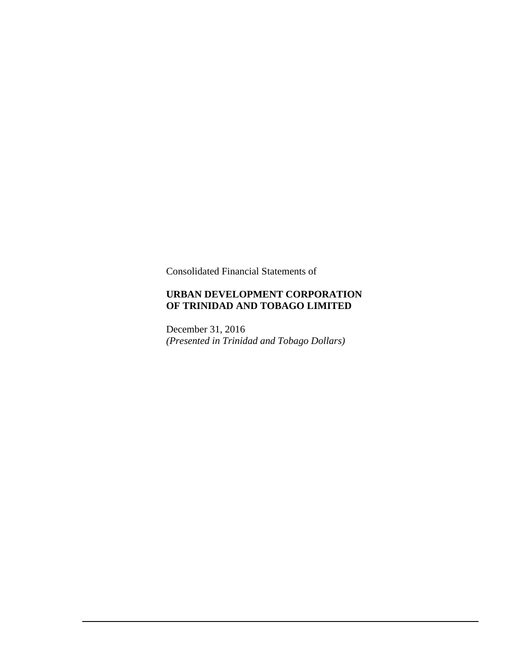Consolidated Financial Statements of

# **URBAN DEVELOPMENT CORPORATION OF TRINIDAD AND TOBAGO LIMITED**

December 31, 2016 *(Presented in Trinidad and Tobago Dollars)*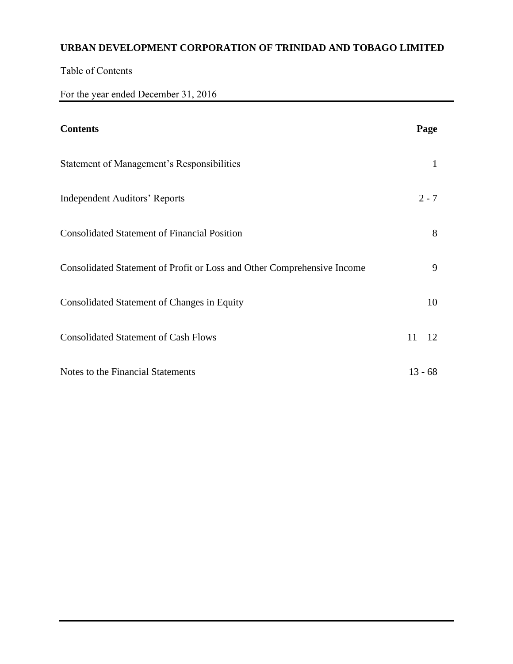Table of Contents

For the year ended December 31, 2016

| <b>Contents</b>                                                         | Page      |
|-------------------------------------------------------------------------|-----------|
| Statement of Management's Responsibilities                              | 1         |
| <b>Independent Auditors' Reports</b>                                    | $2 - 7$   |
| <b>Consolidated Statement of Financial Position</b>                     | 8         |
| Consolidated Statement of Profit or Loss and Other Comprehensive Income | 9         |
| <b>Consolidated Statement of Changes in Equity</b>                      | 10        |
| <b>Consolidated Statement of Cash Flows</b>                             | $11 - 12$ |
| Notes to the Financial Statements                                       | $13 - 68$ |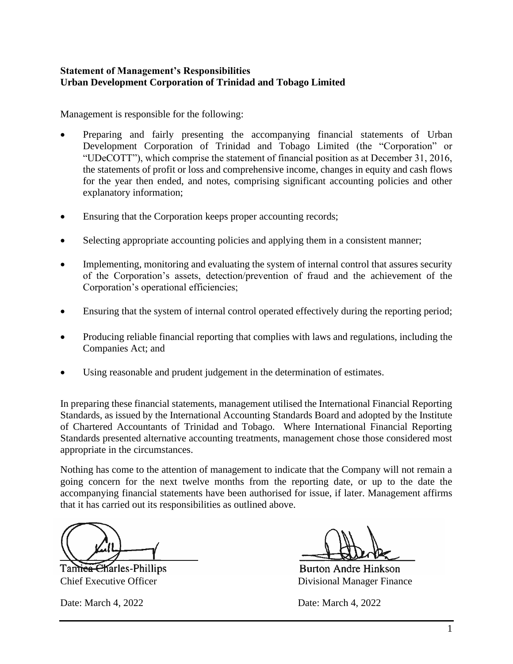# **Statement of Management's Responsibilities Urban Development Corporation of Trinidad and Tobago Limited**

Management is responsible for the following:

- Preparing and fairly presenting the accompanying financial statements of Urban Development Corporation of Trinidad and Tobago Limited (the "Corporation" or "UDeCOTT"), which comprise the statement of financial position as at December 31, 2016, the statements of profit or loss and comprehensive income, changes in equity and cash flows for the year then ended, and notes, comprising significant accounting policies and other explanatory information;
- Ensuring that the Corporation keeps proper accounting records;
- Selecting appropriate accounting policies and applying them in a consistent manner;
- Implementing, monitoring and evaluating the system of internal control that assures security of the Corporation's assets, detection/prevention of fraud and the achievement of the Corporation's operational efficiencies;
- Ensuring that the system of internal control operated effectively during the reporting period;
- Producing reliable financial reporting that complies with laws and regulations, including the Companies Act; and
- Using reasonable and prudent judgement in the determination of estimates.

In preparing these financial statements, management utilised the International Financial Reporting Standards, as issued by the International Accounting Standards Board and adopted by the Institute of Chartered Accountants of Trinidad and Tobago. Where International Financial Reporting Standards presented alternative accounting treatments, management chose those considered most appropriate in the circumstances.

Nothing has come to the attention of management to indicate that the Company will not remain a going concern for the next twelve months from the reporting date, or up to the date the accompanying financial statements have been authorised for issue, if later. Management affirms that it has carried out its responsibilities as outlined above.

Tamiea Charles-Phillips

**Burton Andre Hinkson** Chief Executive Officer Divisional Manager Finance

Date: March 4, 2022 Date: March 4, 2022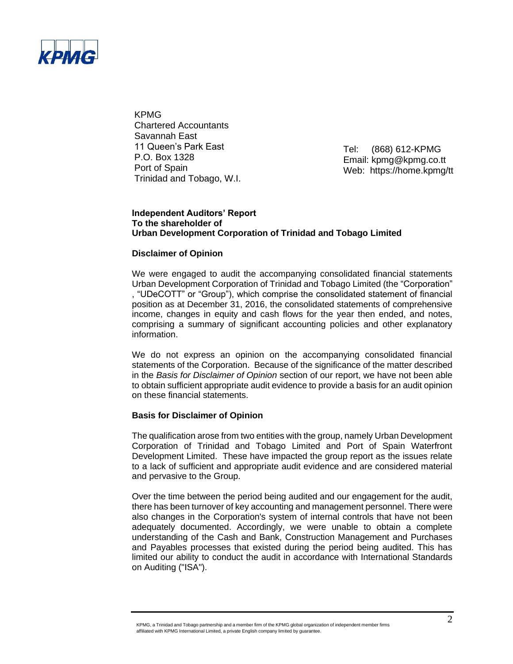

KPMG Chartered Accountants Savannah East 11 Queen's Park East P.O. Box 1328 Port of Spain Trinidad and Tobago, W.I.

Tel: (868) 612-KPMG Email: kpmg@kpmg.co.tt Web: https://home.kpmg/tt

#### **Independent Auditors' Report To the shareholder of Urban Development Corporation of Trinidad and Tobago Limited**

#### **Disclaimer of Opinion**

We were engaged to audit the accompanying consolidated financial statements Urban Development Corporation of Trinidad and Tobago Limited (the "Corporation" , "UDeCOTT" or "Group"), which comprise the consolidated statement of financial position as at December 31, 2016, the consolidated statements of comprehensive income, changes in equity and cash flows for the year then ended, and notes, comprising a summary of significant accounting policies and other explanatory information.

We do not express an opinion on the accompanying consolidated financial statements of the Corporation. Because of the significance of the matter described in the *Basis for Disclaimer of Opinion* section of our report, we have not been able to obtain sufficient appropriate audit evidence to provide a basis for an audit opinion on these financial statements.

#### **Basis for Disclaimer of Opinion**

The qualification arose from two entities with the group, namely Urban Development Corporation of Trinidad and Tobago Limited and Port of Spain Waterfront Development Limited. These have impacted the group report as the issues relate to a lack of sufficient and appropriate audit evidence and are considered material and pervasive to the Group.

Over the time between the period being audited and our engagement for the audit, there has been turnover of key accounting and management personnel. There were also changes in the Corporation's system of internal controls that have not been adequately documented. Accordingly, we were unable to obtain a complete understanding of the Cash and Bank, Construction Management and Purchases and Payables processes that existed during the period being audited. This has limited our ability to conduct the audit in accordance with International Standards on Auditing ("ISA").

KPMG, a Trinidad and Tobago partnership and a member firm of the KPMG global organization of independent member firms affiliated with KPMG International Limited, a private English company limited by guarantee.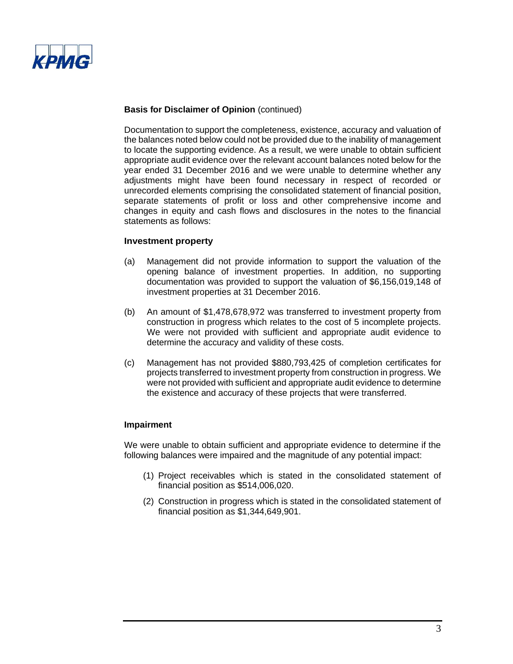

Documentation to support the completeness, existence, accuracy and valuation of the balances noted below could not be provided due to the inability of management to locate the supporting evidence. As a result, we were unable to obtain sufficient appropriate audit evidence over the relevant account balances noted below for the year ended 31 December 2016 and we were unable to determine whether any adjustments might have been found necessary in respect of recorded or unrecorded elements comprising the consolidated statement of financial position, separate statements of profit or loss and other comprehensive income and changes in equity and cash flows and disclosures in the notes to the financial statements as follows:

#### **Investment property**

- (a) Management did not provide information to support the valuation of the opening balance of investment properties. In addition, no supporting documentation was provided to support the valuation of \$6,156,019,148 of investment properties at 31 December 2016.
- (b) An amount of \$1,478,678,972 was transferred to investment property from construction in progress which relates to the cost of 5 incomplete projects. We were not provided with sufficient and appropriate audit evidence to determine the accuracy and validity of these costs.
- (c) Management has not provided \$880,793,425 of completion certificates for projects transferred to investment property from construction in progress. We were not provided with sufficient and appropriate audit evidence to determine the existence and accuracy of these projects that were transferred.

#### **Impairment**

We were unable to obtain sufficient and appropriate evidence to determine if the following balances were impaired and the magnitude of any potential impact:

- (1) Project receivables which is stated in the consolidated statement of financial position as \$514,006,020.
- (2) Construction in progress which is stated in the consolidated statement of financial position as \$1,344,649,901.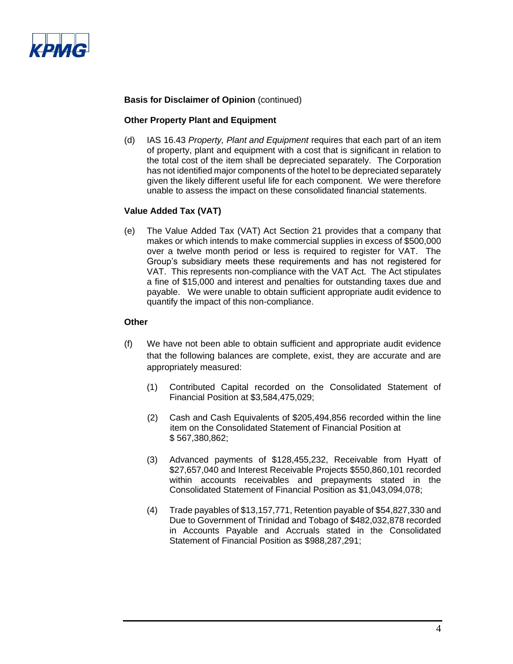

#### **Other Property Plant and Equipment**

(d) IAS 16.43 *Property, Plant and Equipment* requires that each part of an item of property, plant and equipment with a cost that is significant in relation to the total cost of the item shall be depreciated separately. The Corporation has not identified major components of the hotel to be depreciated separately given the likely different useful life for each component. We were therefore unable to assess the impact on these consolidated financial statements.

#### **Value Added Tax (VAT)**

(e) The Value Added Tax (VAT) Act Section 21 provides that a company that makes or which intends to make commercial supplies in excess of \$500,000 over a twelve month period or less is required to register for VAT. The Group's subsidiary meets these requirements and has not registered for VAT. This represents non-compliance with the VAT Act. The Act stipulates a fine of \$15,000 and interest and penalties for outstanding taxes due and payable. We were unable to obtain sufficient appropriate audit evidence to quantify the impact of this non-compliance.

#### **Other**

- (f) We have not been able to obtain sufficient and appropriate audit evidence that the following balances are complete, exist, they are accurate and are appropriately measured:
	- (1) Contributed Capital recorded on the Consolidated Statement of Financial Position at \$3,584,475,029;
	- (2) Cash and Cash Equivalents of \$205,494,856 recorded within the line item on the Consolidated Statement of Financial Position at \$ 567,380,862;
	- (3) Advanced payments of \$128,455,232, Receivable from Hyatt of \$27,657,040 and Interest Receivable Projects \$550,860,101 recorded within accounts receivables and prepayments stated in the Consolidated Statement of Financial Position as \$1,043,094,078;
	- (4) Trade payables of \$13,157,771, Retention payable of \$54,827,330 and Due to Government of Trinidad and Tobago of \$482,032,878 recorded in Accounts Payable and Accruals stated in the Consolidated Statement of Financial Position as \$988,287,291;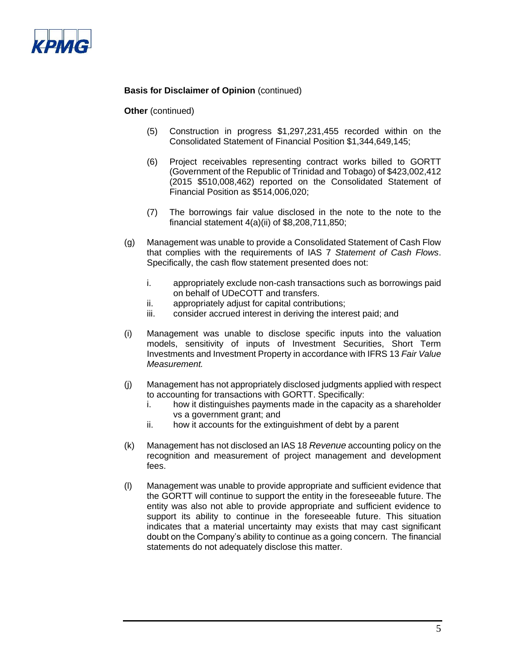

**Other** (continued)

- (5) Construction in progress \$1,297,231,455 recorded within on the Consolidated Statement of Financial Position \$1,344,649,145;
- (6) Project receivables representing contract works billed to GORTT (Government of the Republic of Trinidad and Tobago) of \$423,002,412 (2015 \$510,008,462) reported on the Consolidated Statement of Financial Position as \$514,006,020;
- (7) The borrowings fair value disclosed in the note to the note to the financial statement 4(a)(ii) of \$8,208,711,850;
- (g) Management was unable to provide a Consolidated Statement of Cash Flow that complies with the requirements of IAS 7 *Statement of Cash Flows*. Specifically, the cash flow statement presented does not:
	- i. appropriately exclude non-cash transactions such as borrowings paid on behalf of UDeCOTT and transfers.
	- ii. appropriately adjust for capital contributions;
	- iii. consider accrued interest in deriving the interest paid; and
- (i) Management was unable to disclose specific inputs into the valuation models, sensitivity of inputs of Investment Securities, Short Term Investments and Investment Property in accordance with IFRS 13 *Fair Value Measurement.*
- (j) Management has not appropriately disclosed judgments applied with respect to accounting for transactions with GORTT. Specifically:
	- i. how it distinguishes payments made in the capacity as a shareholder vs a government grant; and
	- ii. how it accounts for the extinguishment of debt by a parent
- (k) Management has not disclosed an IAS 18 *Revenue* accounting policy on the recognition and measurement of project management and development fees.
- (l) Management was unable to provide appropriate and sufficient evidence that the GORTT will continue to support the entity in the foreseeable future. The entity was also not able to provide appropriate and sufficient evidence to support its ability to continue in the foreseeable future. This situation indicates that a material uncertainty may exists that may cast significant doubt on the Company's ability to continue as a going concern. The financial statements do not adequately disclose this matter.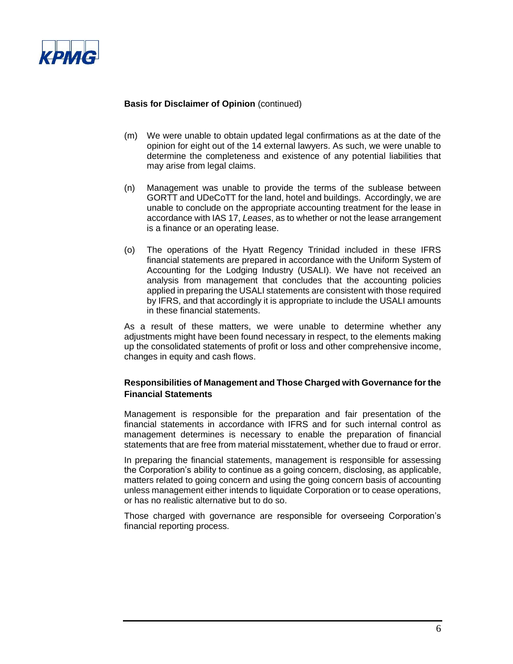

- (m) We were unable to obtain updated legal confirmations as at the date of the opinion for eight out of the 14 external lawyers. As such, we were unable to determine the completeness and existence of any potential liabilities that may arise from legal claims.
- (n) Management was unable to provide the terms of the sublease between GORTT and UDeCoTT for the land, hotel and buildings. Accordingly, we are unable to conclude on the appropriate accounting treatment for the lease in accordance with IAS 17, *Leases*, as to whether or not the lease arrangement is a finance or an operating lease.
- (o) The operations of the Hyatt Regency Trinidad included in these IFRS financial statements are prepared in accordance with the Uniform System of Accounting for the Lodging Industry (USALI). We have not received an analysis from management that concludes that the accounting policies applied in preparing the USALI statements are consistent with those required by IFRS, and that accordingly it is appropriate to include the USALI amounts in these financial statements.

As a result of these matters, we were unable to determine whether any adjustments might have been found necessary in respect, to the elements making up the consolidated statements of profit or loss and other comprehensive income, changes in equity and cash flows.

# **Responsibilities of Management and Those Charged with Governance for the Financial Statements**

Management is responsible for the preparation and fair presentation of the financial statements in accordance with IFRS and for such internal control as management determines is necessary to enable the preparation of financial statements that are free from material misstatement, whether due to fraud or error.

In preparing the financial statements, management is responsible for assessing the Corporation's ability to continue as a going concern, disclosing, as applicable, matters related to going concern and using the going concern basis of accounting unless management either intends to liquidate Corporation or to cease operations, or has no realistic alternative but to do so.

Those charged with governance are responsible for overseeing Corporation's financial reporting process.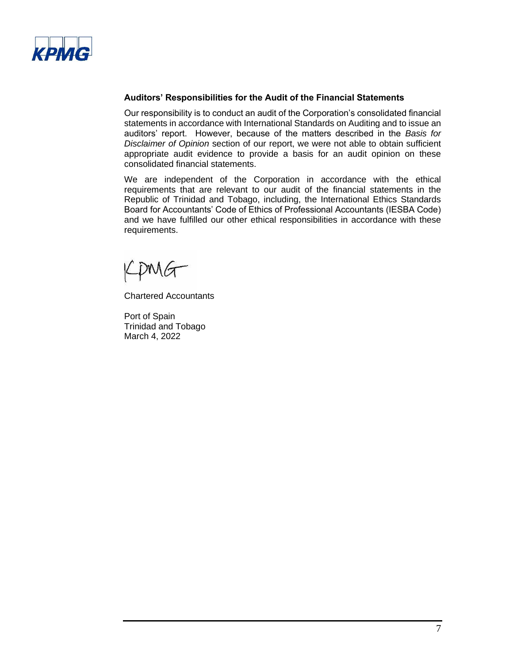

#### **Auditors' Responsibilities for the Audit of the Financial Statements**

Our responsibility is to conduct an audit of the Corporation's consolidated financial statements in accordance with International Standards on Auditing and to issue an auditors' report. However, because of the matters described in the *Basis for Disclaimer of Opinion* section of our report, we were not able to obtain sufficient appropriate audit evidence to provide a basis for an audit opinion on these consolidated financial statements.

We are independent of the Corporation in accordance with the ethical requirements that are relevant to our audit of the financial statements in the Republic of Trinidad and Tobago, including, the International Ethics Standards Board for Accountants' Code of Ethics of Professional Accountants (IESBA Code) and we have fulfilled our other ethical responsibilities in accordance with these requirements.

pMG

Chartered Accountants

Port of Spain Trinidad and Tobago March 4, 2022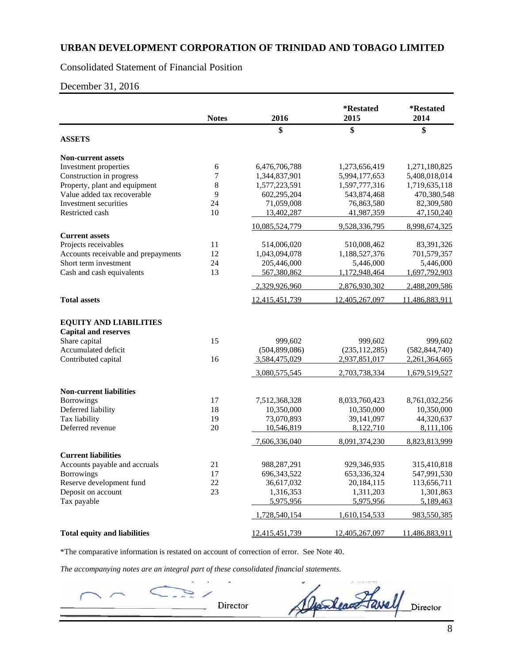### Consolidated Statement of Financial Position

December 31, 2016

|                                                              | <b>Notes</b> | 2016            | *Restated<br>2015 | *Restated<br>2014 |
|--------------------------------------------------------------|--------------|-----------------|-------------------|-------------------|
| <b>ASSETS</b>                                                |              | \$              | \$                | \$                |
|                                                              |              |                 |                   |                   |
| <b>Non-current assets</b>                                    |              |                 |                   |                   |
| Investment properties                                        | 6            | 6,476,706,788   | 1,273,656,419     | 1,271,180,825     |
| Construction in progress                                     | 7            | 1,344,837,901   | 5,994,177,653     | 5,408,018,014     |
| Property, plant and equipment                                | 8            | 1,577,223,591   | 1,597,777,316     | 1,719,635,118     |
| Value added tax recoverable                                  | 9            | 602,295,204     | 543,874,468       | 470,380,548       |
| Investment securities                                        | 24           | 71,059,008      | 76,863,580        | 82,309,580        |
| Restricted cash                                              | 10           | 13,402,287      | 41,987,359        | 47,150,240        |
|                                                              |              | 10,085,524,779  | 9,528,336,795     | 8.998.674.325     |
| <b>Current assets</b>                                        |              |                 |                   |                   |
| Projects receivables                                         | 11           | 514,006,020     | 510,008,462       | 83,391,326        |
| Accounts receivable and prepayments                          | 12           | 1,043,094,078   | 1,188,527,376     | 701,579,357       |
| Short term investment                                        | 24           | 205,446,000     | 5,446,000         | 5,446,000         |
| Cash and cash equivalents                                    | 13           | 567,380,862     | 1,172,948,464     | 1,697,792,903     |
|                                                              |              | 2,329,926,960   | 2,876,930,302     | 2,488,209,586     |
| <b>Total assets</b>                                          |              | 12,415,451,739  | 12,405,267,097    | 11,486,883,911    |
| <b>EQUITY AND LIABILITIES</b><br><b>Capital and reserves</b> |              |                 |                   |                   |
| Share capital                                                | 15           | 999,602         | 999,602           | 999,602           |
| Accumulated deficit                                          |              | (504, 899, 086) | (235, 112, 285)   | (582, 844, 740)   |
| Contributed capital                                          | 16           | 3,584,475,029   | 2,937,851,017     | 2,261,364,665     |
|                                                              |              |                 |                   |                   |
|                                                              |              | 3,080,575,545   | 2,703,738,334     | 1,679,519,527     |
| <b>Non-current liabilities</b>                               |              |                 |                   |                   |
| <b>Borrowings</b>                                            | 17           | 7,512,368,328   | 8,033,760,423     | 8,761,032,256     |
| Deferred liability                                           | 18           | 10,350,000      | 10,350,000        | 10,350,000        |
| Tax liability                                                | 19           | 73,070,893      | 39,141,097        | 44,320,637        |
| Deferred revenue                                             | 20           | 10,546,819      | 8,122,710         | 8,111,106         |
|                                                              |              | 7,606,336,040   | 8,091,374,230     | 8,823,813,999     |
| <b>Current liabilities</b>                                   |              |                 |                   |                   |
| Accounts payable and accruals                                | 21           | 988,287,291     | 929,346,935       | 315,410,818       |
| <b>Borrowings</b>                                            | 17           | 696, 343, 522   | 653,336,324       | 547,991,530       |
| Reserve development fund                                     | 22           | 36,617,032      | 20,184,115        | 113,656,711       |
| Deposit on account                                           | 23           | 1,316,353       | 1,311,203         | 1,301,863         |
| Tax payable                                                  |              | 5,975,956       | 5,975,956         | 5,189,463         |
|                                                              |              | 1,728,540,154   | 1,610,154,533     | 983,550,385       |
| <b>Total equity and liabilities</b>                          |              | 12,415,451,739  | 12,405,267,097    | 11,486,883,911    |

\*The comparative information is restated on account of correction of error. See Note 40.

*The accompanying notes are an integral part of these consolidated financial statements.*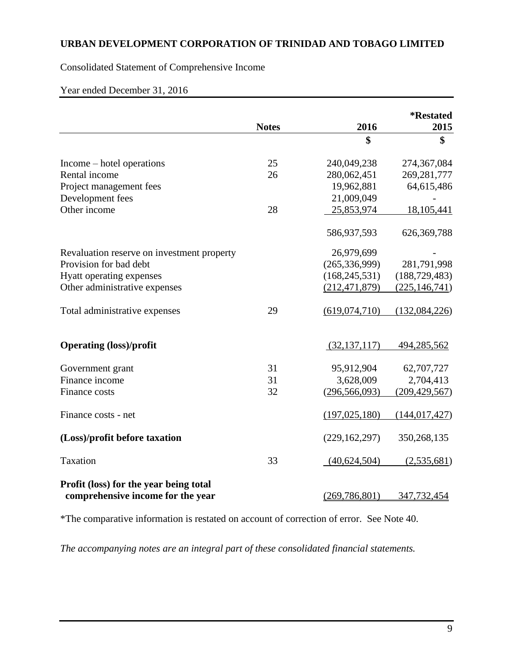Consolidated Statement of Comprehensive Income

Year ended December 31, 2016

|                                                                             |              |                 | <i><b>*Restated</b></i> |
|-----------------------------------------------------------------------------|--------------|-----------------|-------------------------|
|                                                                             | <b>Notes</b> | 2016            | 2015                    |
|                                                                             |              | \$              | \$                      |
| Income – hotel operations                                                   | 25           | 240,049,238     | 274,367,084             |
| Rental income                                                               | 26           | 280,062,451     | 269, 281, 777           |
| Project management fees                                                     |              | 19,962,881      | 64,615,486              |
| Development fees                                                            |              | 21,009,049      |                         |
| Other income                                                                | 28           | 25,853,974      | 18,105,441              |
|                                                                             |              | 586,937,593     | 626,369,788             |
| Revaluation reserve on investment property                                  |              | 26,979,699      |                         |
| Provision for bad debt                                                      |              | (265, 336, 999) | 281,791,998             |
| Hyatt operating expenses                                                    |              | (168, 245, 531) | (188, 729, 483)         |
| Other administrative expenses                                               |              | (212, 471, 879) | (225, 146, 741)         |
| Total administrative expenses                                               | 29           | (619, 074, 710) | (132,084,226)           |
| <b>Operating (loss)/profit</b>                                              |              | (32, 137, 117)  | 494,285,562             |
| Government grant                                                            | 31           | 95,912,904      | 62,707,727              |
| Finance income                                                              | 31           | 3,628,009       | 2,704,413               |
| Finance costs                                                               | 32           | (296, 566, 093) | (209, 429, 567)         |
| Finance costs - net                                                         |              | (197, 025, 180) | (144, 017, 427)         |
| (Loss)/profit before taxation                                               |              | (229, 162, 297) | 350,268,135             |
| Taxation                                                                    | 33           | (40,624,504)    | (2,535,681)             |
| Profit (loss) for the year being total<br>comprehensive income for the year |              | (269, 786, 801) | 347,732,454             |

\*The comparative information is restated on account of correction of error. See Note 40.

*The accompanying notes are an integral part of these consolidated financial statements.*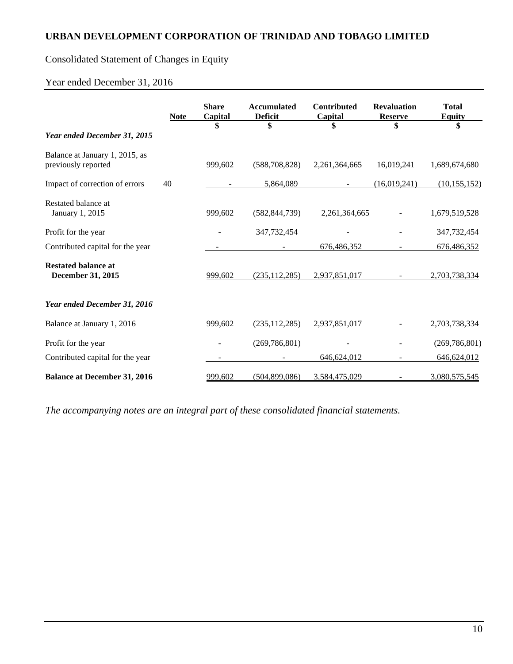# Consolidated Statement of Changes in Equity

# Year ended December 31, 2016

|                                                       | <b>Note</b> | <b>Share</b><br>Capital | <b>Accumulated</b><br><b>Deficit</b> | <b>Contributed</b><br><b>Capital</b> | <b>Revaluation</b><br><b>Reserve</b> | <b>Total</b><br><b>Equity</b> |
|-------------------------------------------------------|-------------|-------------------------|--------------------------------------|--------------------------------------|--------------------------------------|-------------------------------|
|                                                       |             |                         | \$                                   | \$                                   | \$                                   | \$                            |
| Year ended December 31, 2015                          |             |                         |                                      |                                      |                                      |                               |
| Balance at January 1, 2015, as<br>previously reported |             | 999,602                 | (588, 708, 828)                      | 2,261,364,665                        | 16,019,241                           | 1,689,674,680                 |
| Impact of correction of errors                        | 40          |                         | 5,864,089                            |                                      | (16,019,241)                         | (10, 155, 152)                |
| Restated balance at<br>January 1, 2015                |             | 999,602                 | (582, 844, 739)                      | 2,261,364,665                        |                                      | 1,679,519,528                 |
| Profit for the year                                   |             |                         | 347,732,454                          |                                      |                                      | 347,732,454                   |
| Contributed capital for the year                      |             |                         |                                      | 676,486,352                          |                                      | 676,486,352                   |
| <b>Restated balance at</b><br>December 31, 2015       |             | 999,602                 | (235, 112, 285)                      | 2,937,851,017                        |                                      | 2,703,738,334                 |
| Year ended December 31, 2016                          |             |                         |                                      |                                      |                                      |                               |
| Balance at January 1, 2016                            |             | 999,602                 | (235, 112, 285)                      | 2,937,851,017                        |                                      | 2,703,738,334                 |
| Profit for the year                                   |             |                         | (269, 786, 801)                      |                                      |                                      | (269, 786, 801)               |
| Contributed capital for the year                      |             |                         |                                      | 646,624,012                          |                                      | 646,624,012                   |
| <b>Balance at December 31, 2016</b>                   |             | 999,602                 | (504,899,086)                        | 3,584,475,029                        |                                      | 3,080,575,545                 |

*The accompanying notes are an integral part of these consolidated financial statements.*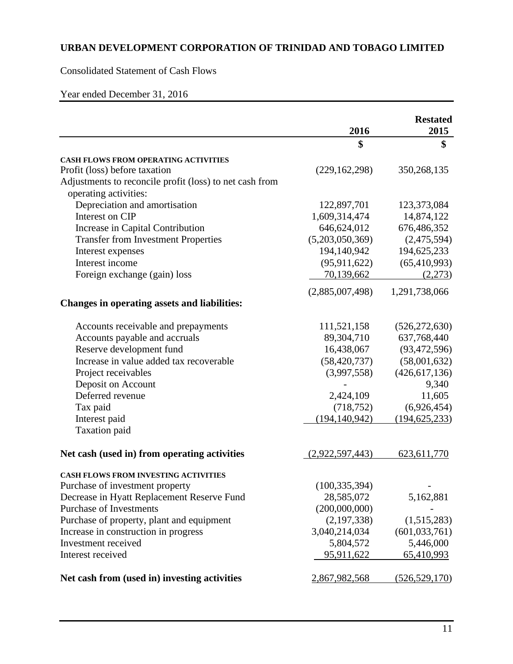Consolidated Statement of Cash Flows

Year ended December 31, 2016

|                                                         | 2016            | <b>Restated</b><br>2015 |
|---------------------------------------------------------|-----------------|-------------------------|
|                                                         | \$              | \$                      |
| CASH FLOWS FROM OPERATING ACTIVITIES                    |                 |                         |
| Profit (loss) before taxation                           | (229, 162, 298) | 350,268,135             |
| Adjustments to reconcile profit (loss) to net cash from |                 |                         |
| operating activities:                                   |                 |                         |
| Depreciation and amortisation                           | 122,897,701     | 123,373,084             |
| Interest on CIP                                         | 1,609,314,474   | 14,874,122              |
| Increase in Capital Contribution                        | 646,624,012     | 676,486,352             |
| <b>Transfer from Investment Properties</b>              | (5,203,050,369) | (2,475,594)             |
| Interest expenses                                       | 194,140,942     | 194,625,233             |
| Interest income                                         | (95, 911, 622)  | (65, 410, 993)          |
| Foreign exchange (gain) loss                            | 70,139,662      | (2,273)                 |
|                                                         | (2,885,007,498) | 1,291,738,066           |
| <b>Changes in operating assets and liabilities:</b>     |                 |                         |
| Accounts receivable and prepayments                     | 111,521,158     | (526, 272, 630)         |
| Accounts payable and accruals                           | 89,304,710      | 637,768,440             |
| Reserve development fund                                | 16,438,067      | (93, 472, 596)          |
| Increase in value added tax recoverable                 | (58, 420, 737)  | (58,001,632)            |
| Project receivables                                     | (3,997,558)     | (426, 617, 136)         |
| Deposit on Account                                      |                 | 9,340                   |
| Deferred revenue                                        | 2,424,109       | 11,605                  |
| Tax paid                                                | (718, 752)      | (6,926,454)             |
| Interest paid                                           | (194, 140, 942) | (194, 625, 233)         |
| Taxation paid                                           |                 |                         |
| Net cash (used in) from operating activities            | (2,922,597,443) | 623, 611, 770           |
| <b>CASH FLOWS FROM INVESTING ACTIVITIES</b>             |                 |                         |
| Purchase of investment property                         | (100, 335, 394) |                         |
| Decrease in Hyatt Replacement Reserve Fund              | 28,585,072      | 5,162,881               |
| <b>Purchase of Investments</b>                          | (200,000,000)   |                         |
| Purchase of property, plant and equipment               | (2,197,338)     | (1,515,283)             |
| Increase in construction in progress                    | 3,040,214,034   | (601, 033, 761)         |
| Investment received                                     | 5,804,572       | 5,446,000               |
| Interest received                                       | 95,911,622      | 65,410,993              |
| Net cash from (used in) investing activities            | 2,867,982,568   | (526, 529, 170)         |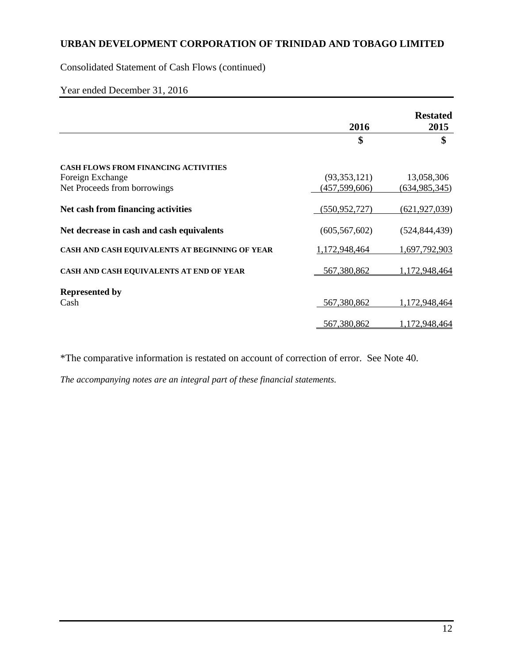Consolidated Statement of Cash Flows (continued)

# Year ended December 31, 2016

|                                                | 2016            | <b>Restated</b><br>2015 |
|------------------------------------------------|-----------------|-------------------------|
|                                                | \$              | \$                      |
| <b>CASH FLOWS FROM FINANCING ACTIVITIES</b>    |                 |                         |
| Foreign Exchange                               | (93,353,121)    | 13,058,306              |
| Net Proceeds from borrowings                   | (457, 599, 606) | (634, 985, 345)         |
| Net cash from financing activities             | (550, 952, 727) | (621, 927, 039)         |
| Net decrease in cash and cash equivalents      | (605, 567, 602) | (524, 844, 439)         |
| CASH AND CASH EQUIVALENTS AT BEGINNING OF YEAR | 1,172,948,464   | 1,697,792,903           |
| CASH AND CASH EQUIVALENTS AT END OF YEAR       | 567,380,862     | 1,172,948,464           |
| <b>Represented by</b>                          |                 |                         |
| Cash                                           | 567,380,862     | 1,172,948,464           |
|                                                | 567,380,862     | 1,172,948,464           |

\*The comparative information is restated on account of correction of error. See Note 40.

*The accompanying notes are an integral part of these financial statements.*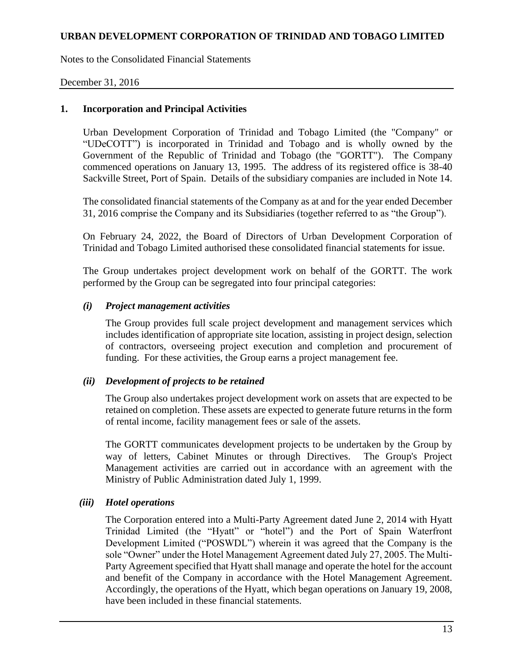Notes to the Consolidated Financial Statements

### December 31, 2016

#### **1. Incorporation and Principal Activities**

Urban Development Corporation of Trinidad and Tobago Limited (the "Company" or "UDeCOTT") is incorporated in Trinidad and Tobago and is wholly owned by the Government of the Republic of Trinidad and Tobago (the "GORTT"). The Company commenced operations on January 13, 1995. The address of its registered office is 38-40 Sackville Street, Port of Spain. Details of the subsidiary companies are included in Note 14.

The consolidated financial statements of the Company as at and for the year ended December 31, 2016 comprise the Company and its Subsidiaries (together referred to as "the Group").

On February 24, 2022, the Board of Directors of Urban Development Corporation of Trinidad and Tobago Limited authorised these consolidated financial statements for issue.

The Group undertakes project development work on behalf of the GORTT. The work performed by the Group can be segregated into four principal categories:

#### *(i) Project management activities*

The Group provides full scale project development and management services which includes identification of appropriate site location, assisting in project design, selection of contractors, overseeing project execution and completion and procurement of funding. For these activities, the Group earns a project management fee.

#### *(ii) Development of projects to be retained*

The Group also undertakes project development work on assets that are expected to be retained on completion. These assets are expected to generate future returns in the form of rental income, facility management fees or sale of the assets.

The GORTT communicates development projects to be undertaken by the Group by way of letters, Cabinet Minutes or through Directives. The Group's Project Management activities are carried out in accordance with an agreement with the Ministry of Public Administration dated July 1, 1999.

### *(iii) Hotel operations*

The Corporation entered into a Multi-Party Agreement dated June 2, 2014 with Hyatt Trinidad Limited (the "Hyatt" or "hotel") and the Port of Spain Waterfront Development Limited ("POSWDL") wherein it was agreed that the Company is the sole "Owner" under the Hotel Management Agreement dated July 27, 2005. The Multi-Party Agreement specified that Hyatt shall manage and operate the hotel for the account and benefit of the Company in accordance with the Hotel Management Agreement. Accordingly, the operations of the Hyatt, which began operations on January 19, 2008, have been included in these financial statements.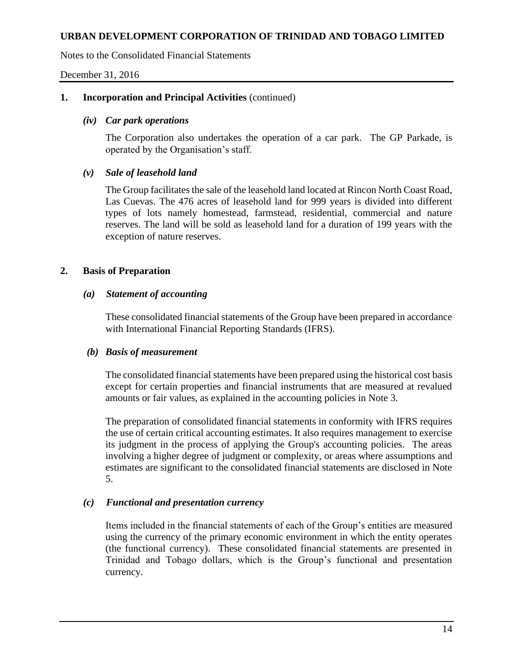Notes to the Consolidated Financial Statements

December 31, 2016

## **1. Incorporation and Principal Activities** (continued)

### *(iv) Car park operations*

The Corporation also undertakes the operation of a car park. The GP Parkade, is operated by the Organisation's staff.

# *(v) Sale of leasehold land*

The Group facilitates the sale of the leasehold land located at Rincon North Coast Road, Las Cuevas. The 476 acres of leasehold land for 999 years is divided into different types of lots namely homestead, farmstead, residential, commercial and nature reserves. The land will be sold as leasehold land for a duration of 199 years with the exception of nature reserves.

# **2. Basis of Preparation**

# *(a) Statement of accounting*

These consolidated financial statements of the Group have been prepared in accordance with International Financial Reporting Standards (IFRS).

### *(b) Basis of measurement*

The consolidated financial statements have been prepared using the historical cost basis except for certain properties and financial instruments that are measured at revalued amounts or fair values, as explained in the accounting policies in Note 3.

The preparation of consolidated financial statements in conformity with IFRS requires the use of certain critical accounting estimates. It also requires management to exercise its judgment in the process of applying the Group's accounting policies. The areas involving a higher degree of judgment or complexity, or areas where assumptions and estimates are significant to the consolidated financial statements are disclosed in Note 5.

# *(c) Functional and presentation currency*

Items included in the financial statements of each of the Group's entities are measured using the currency of the primary economic environment in which the entity operates (the functional currency). These consolidated financial statements are presented in Trinidad and Tobago dollars, which is the Group's functional and presentation currency.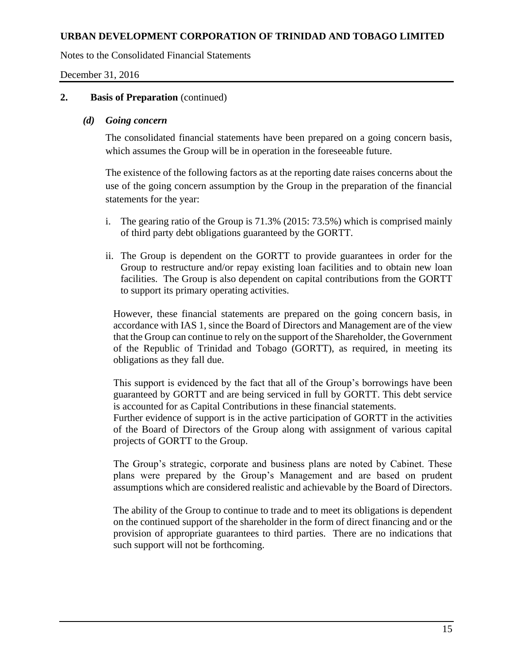Notes to the Consolidated Financial Statements

December 31, 2016

## **2. Basis of Preparation** (continued)

### *(d) Going concern*

The consolidated financial statements have been prepared on a going concern basis, which assumes the Group will be in operation in the foreseeable future.

The existence of the following factors as at the reporting date raises concerns about the use of the going concern assumption by the Group in the preparation of the financial statements for the year:

- i. The gearing ratio of the Group is 71.3% (2015: 73.5%) which is comprised mainly of third party debt obligations guaranteed by the GORTT.
- ii. The Group is dependent on the GORTT to provide guarantees in order for the Group to restructure and/or repay existing loan facilities and to obtain new loan facilities. The Group is also dependent on capital contributions from the GORTT to support its primary operating activities.

However, these financial statements are prepared on the going concern basis, in accordance with IAS 1, since the Board of Directors and Management are of the view that the Group can continue to rely on the support of the Shareholder, the Government of the Republic of Trinidad and Tobago (GORTT), as required, in meeting its obligations as they fall due.

This support is evidenced by the fact that all of the Group's borrowings have been guaranteed by GORTT and are being serviced in full by GORTT. This debt service is accounted for as Capital Contributions in these financial statements.

Further evidence of support is in the active participation of GORTT in the activities of the Board of Directors of the Group along with assignment of various capital projects of GORTT to the Group.

The Group's strategic, corporate and business plans are noted by Cabinet. These plans were prepared by the Group's Management and are based on prudent assumptions which are considered realistic and achievable by the Board of Directors.

The ability of the Group to continue to trade and to meet its obligations is dependent on the continued support of the shareholder in the form of direct financing and or the provision of appropriate guarantees to third parties. There are no indications that such support will not be forthcoming.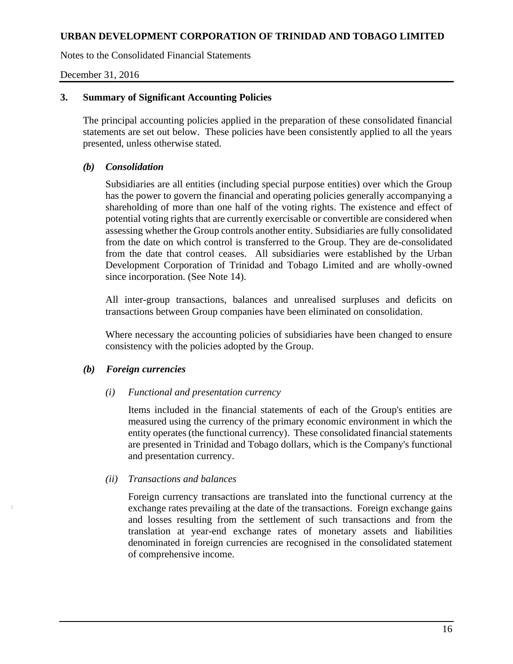Notes to the Consolidated Financial Statements

December 31, 2016

# **3. Summary of Significant Accounting Policies**

The principal accounting policies applied in the preparation of these consolidated financial statements are set out below. These policies have been consistently applied to all the years presented, unless otherwise stated.

# *(b) Consolidation*

Subsidiaries are all entities (including special purpose entities) over which the Group has the power to govern the financial and operating policies generally accompanying a shareholding of more than one half of the voting rights. The existence and effect of potential voting rights that are currently exercisable or convertible are considered when assessing whether the Group controls another entity. Subsidiaries are fully consolidated from the date on which control is transferred to the Group. They are de-consolidated from the date that control ceases. All subsidiaries were established by the Urban Development Corporation of Trinidad and Tobago Limited and are wholly-owned since incorporation. (See Note 14).

All inter-group transactions, balances and unrealised surpluses and deficits on transactions between Group companies have been eliminated on consolidation.

Where necessary the accounting policies of subsidiaries have been changed to ensure consistency with the policies adopted by the Group.

# *(b) Foreign currencies*

J

### *(i) Functional and presentation currency*

Items included in the financial statements of each of the Group's entities are measured using the currency of the primary economic environment in which the entity operates (the functional currency). These consolidated financial statements are presented in Trinidad and Tobago dollars, which is the Company's functional and presentation currency.

### *(ii) Transactions and balances*

Foreign currency transactions are translated into the functional currency at the exchange rates prevailing at the date of the transactions. Foreign exchange gains and losses resulting from the settlement of such transactions and from the translation at year-end exchange rates of monetary assets and liabilities denominated in foreign currencies are recognised in the consolidated statement of comprehensive income.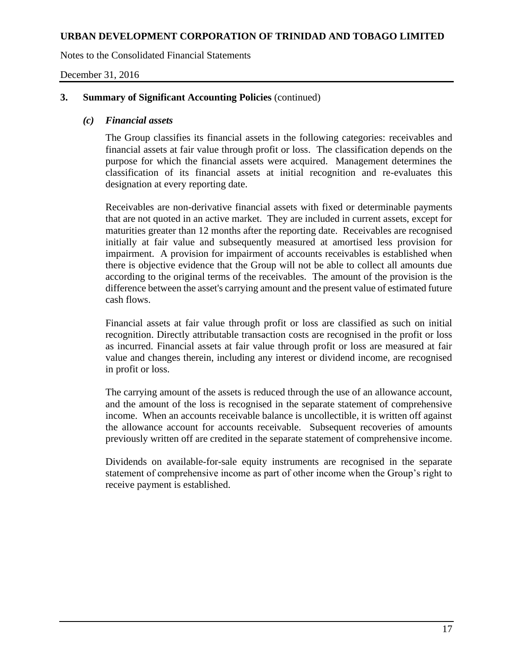Notes to the Consolidated Financial Statements

December 31, 2016

## **3. Summary of Significant Accounting Policies** (continued)

### *(c) Financial assets*

The Group classifies its financial assets in the following categories: receivables and financial assets at fair value through profit or loss. The classification depends on the purpose for which the financial assets were acquired. Management determines the classification of its financial assets at initial recognition and re-evaluates this designation at every reporting date.

Receivables are non-derivative financial assets with fixed or determinable payments that are not quoted in an active market. They are included in current assets, except for maturities greater than 12 months after the reporting date. Receivables are recognised initially at fair value and subsequently measured at amortised less provision for impairment. A provision for impairment of accounts receivables is established when there is objective evidence that the Group will not be able to collect all amounts due according to the original terms of the receivables. The amount of the provision is the difference between the asset's carrying amount and the present value of estimated future cash flows.

Financial assets at fair value through profit or loss are classified as such on initial recognition. Directly attributable transaction costs are recognised in the profit or loss as incurred. Financial assets at fair value through profit or loss are measured at fair value and changes therein, including any interest or dividend income, are recognised in profit or loss.

The carrying amount of the assets is reduced through the use of an allowance account, and the amount of the loss is recognised in the separate statement of comprehensive income. When an accounts receivable balance is uncollectible, it is written off against the allowance account for accounts receivable. Subsequent recoveries of amounts previously written off are credited in the separate statement of comprehensive income.

Dividends on available-for-sale equity instruments are recognised in the separate statement of comprehensive income as part of other income when the Group's right to receive payment is established.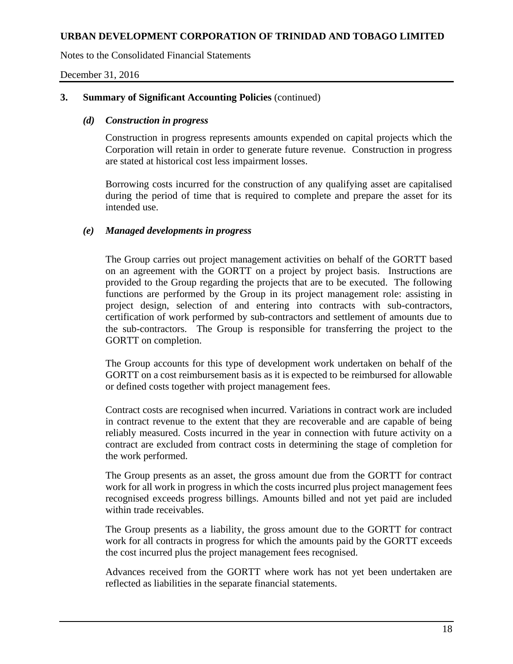Notes to the Consolidated Financial Statements

December 31, 2016

## **3. Summary of Significant Accounting Policies** (continued)

## *(d) Construction in progress*

Construction in progress represents amounts expended on capital projects which the Corporation will retain in order to generate future revenue. Construction in progress are stated at historical cost less impairment losses.

Borrowing costs incurred for the construction of any qualifying asset are capitalised during the period of time that is required to complete and prepare the asset for its intended use.

# *(e) Managed developments in progress*

The Group carries out project management activities on behalf of the GORTT based on an agreement with the GORTT on a project by project basis. Instructions are provided to the Group regarding the projects that are to be executed. The following functions are performed by the Group in its project management role: assisting in project design, selection of and entering into contracts with sub-contractors, certification of work performed by sub-contractors and settlement of amounts due to the sub-contractors. The Group is responsible for transferring the project to the GORTT on completion.

The Group accounts for this type of development work undertaken on behalf of the GORTT on a cost reimbursement basis as it is expected to be reimbursed for allowable or defined costs together with project management fees.

Contract costs are recognised when incurred. Variations in contract work are included in contract revenue to the extent that they are recoverable and are capable of being reliably measured. Costs incurred in the year in connection with future activity on a contract are excluded from contract costs in determining the stage of completion for the work performed.

The Group presents as an asset, the gross amount due from the GORTT for contract work for all work in progress in which the costs incurred plus project management fees recognised exceeds progress billings. Amounts billed and not yet paid are included within trade receivables.

The Group presents as a liability, the gross amount due to the GORTT for contract work for all contracts in progress for which the amounts paid by the GORTT exceeds the cost incurred plus the project management fees recognised.

Advances received from the GORTT where work has not yet been undertaken are reflected as liabilities in the separate financial statements.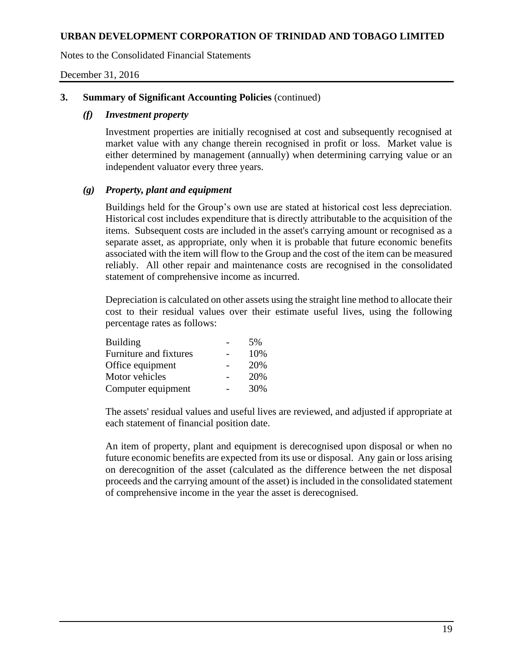Notes to the Consolidated Financial Statements

December 31, 2016

## **3. Summary of Significant Accounting Policies** (continued)

## *(f) Investment property*

Investment properties are initially recognised at cost and subsequently recognised at market value with any change therein recognised in profit or loss. Market value is either determined by management (annually) when determining carrying value or an independent valuator every three years.

# *(g) Property, plant and equipment*

Buildings held for the Group's own use are stated at historical cost less depreciation. Historical cost includes expenditure that is directly attributable to the acquisition of the items. Subsequent costs are included in the asset's carrying amount or recognised as a separate asset, as appropriate, only when it is probable that future economic benefits associated with the item will flow to the Group and the cost of the item can be measured reliably. All other repair and maintenance costs are recognised in the consolidated statement of comprehensive income as incurred.

Depreciation is calculated on other assets using the straight line method to allocate their cost to their residual values over their estimate useful lives, using the following percentage rates as follows:

| <b>Building</b>        | .5% |
|------------------------|-----|
| Furniture and fixtures | 10% |
| Office equipment       | 20% |
| Motor vehicles         | 20% |
| Computer equipment     | 30% |

The assets' residual values and useful lives are reviewed, and adjusted if appropriate at each statement of financial position date.

An item of property, plant and equipment is derecognised upon disposal or when no future economic benefits are expected from its use or disposal. Any gain or loss arising on derecognition of the asset (calculated as the difference between the net disposal proceeds and the carrying amount of the asset) is included in the consolidated statement of comprehensive income in the year the asset is derecognised.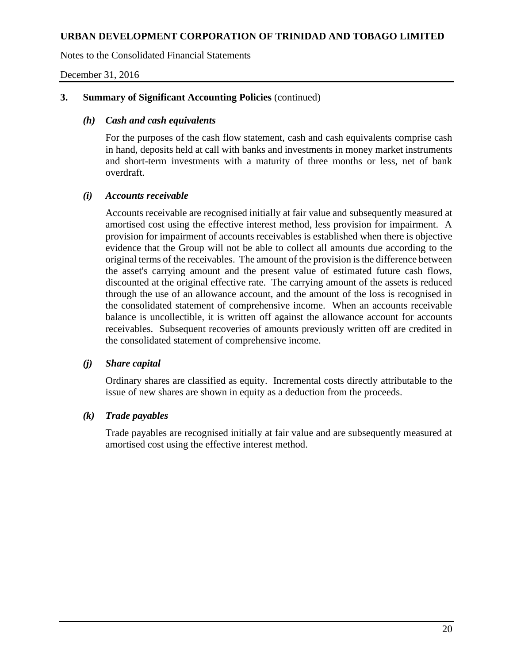Notes to the Consolidated Financial Statements

December 31, 2016

# **3. Summary of Significant Accounting Policies** (continued)

## *(h) Cash and cash equivalents*

For the purposes of the cash flow statement, cash and cash equivalents comprise cash in hand, deposits held at call with banks and investments in money market instruments and short-term investments with a maturity of three months or less, net of bank overdraft.

# *(i) Accounts receivable*

Accounts receivable are recognised initially at fair value and subsequently measured at amortised cost using the effective interest method, less provision for impairment. A provision for impairment of accounts receivables is established when there is objective evidence that the Group will not be able to collect all amounts due according to the original terms of the receivables. The amount of the provision is the difference between the asset's carrying amount and the present value of estimated future cash flows, discounted at the original effective rate. The carrying amount of the assets is reduced through the use of an allowance account, and the amount of the loss is recognised in the consolidated statement of comprehensive income. When an accounts receivable balance is uncollectible, it is written off against the allowance account for accounts receivables. Subsequent recoveries of amounts previously written off are credited in the consolidated statement of comprehensive income.

### *(j) Share capital*

Ordinary shares are classified as equity. Incremental costs directly attributable to the issue of new shares are shown in equity as a deduction from the proceeds.

# *(k) Trade payables*

Trade payables are recognised initially at fair value and are subsequently measured at amortised cost using the effective interest method.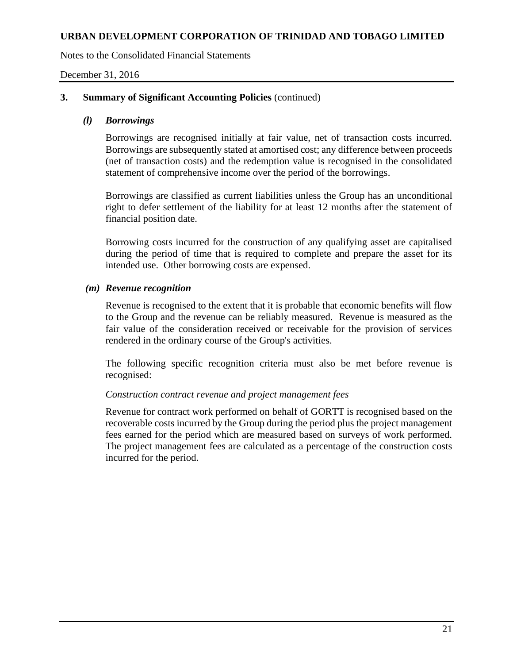Notes to the Consolidated Financial Statements

December 31, 2016

## **3. Summary of Significant Accounting Policies** (continued)

### *(l) Borrowings*

Borrowings are recognised initially at fair value, net of transaction costs incurred. Borrowings are subsequently stated at amortised cost; any difference between proceeds (net of transaction costs) and the redemption value is recognised in the consolidated statement of comprehensive income over the period of the borrowings.

Borrowings are classified as current liabilities unless the Group has an unconditional right to defer settlement of the liability for at least 12 months after the statement of financial position date.

Borrowing costs incurred for the construction of any qualifying asset are capitalised during the period of time that is required to complete and prepare the asset for its intended use. Other borrowing costs are expensed.

#### *(m) Revenue recognition*

Revenue is recognised to the extent that it is probable that economic benefits will flow to the Group and the revenue can be reliably measured. Revenue is measured as the fair value of the consideration received or receivable for the provision of services rendered in the ordinary course of the Group's activities.

The following specific recognition criteria must also be met before revenue is recognised:

### *Construction contract revenue and project management fees*

Revenue for contract work performed on behalf of GORTT is recognised based on the recoverable costs incurred by the Group during the period plus the project management fees earned for the period which are measured based on surveys of work performed. The project management fees are calculated as a percentage of the construction costs incurred for the period.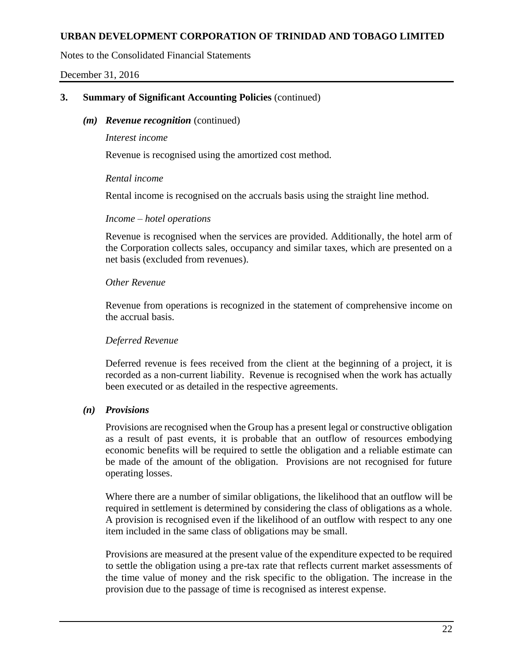Notes to the Consolidated Financial Statements

December 31, 2016

# **3. Summary of Significant Accounting Policies** (continued)

### *(m) Revenue recognition* (continued)

#### *Interest income*

Revenue is recognised using the amortized cost method.

### *Rental income*

Rental income is recognised on the accruals basis using the straight line method.

### *Income – hotel operations*

Revenue is recognised when the services are provided. Additionally, the hotel arm of the Corporation collects sales, occupancy and similar taxes, which are presented on a net basis (excluded from revenues).

# *Other Revenue*

Revenue from operations is recognized in the statement of comprehensive income on the accrual basis.

# *Deferred Revenue*

Deferred revenue is fees received from the client at the beginning of a project, it is recorded as a non-current liability. Revenue is recognised when the work has actually been executed or as detailed in the respective agreements.

# *(n) Provisions*

Provisions are recognised when the Group has a present legal or constructive obligation as a result of past events, it is probable that an outflow of resources embodying economic benefits will be required to settle the obligation and a reliable estimate can be made of the amount of the obligation. Provisions are not recognised for future operating losses.

Where there are a number of similar obligations, the likelihood that an outflow will be required in settlement is determined by considering the class of obligations as a whole. A provision is recognised even if the likelihood of an outflow with respect to any one item included in the same class of obligations may be small.

Provisions are measured at the present value of the expenditure expected to be required to settle the obligation using a pre-tax rate that reflects current market assessments of the time value of money and the risk specific to the obligation. The increase in the provision due to the passage of time is recognised as interest expense.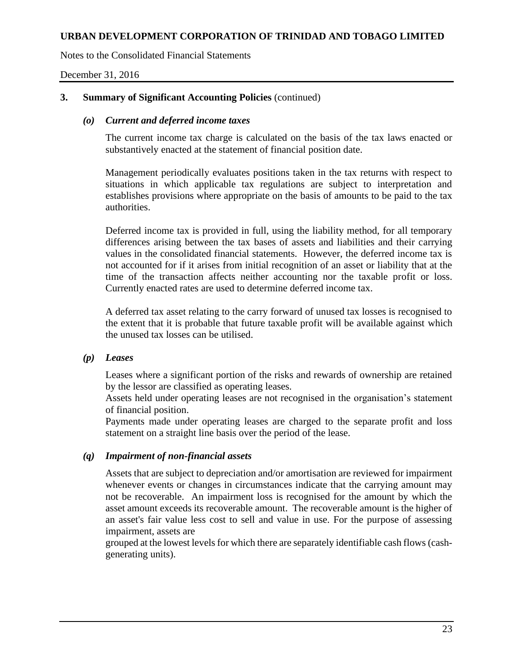Notes to the Consolidated Financial Statements

December 31, 2016

## **3. Summary of Significant Accounting Policies** (continued)

## *(o) Current and deferred income taxes*

The current income tax charge is calculated on the basis of the tax laws enacted or substantively enacted at the statement of financial position date.

Management periodically evaluates positions taken in the tax returns with respect to situations in which applicable tax regulations are subject to interpretation and establishes provisions where appropriate on the basis of amounts to be paid to the tax authorities.

Deferred income tax is provided in full, using the liability method, for all temporary differences arising between the tax bases of assets and liabilities and their carrying values in the consolidated financial statements. However, the deferred income tax is not accounted for if it arises from initial recognition of an asset or liability that at the time of the transaction affects neither accounting nor the taxable profit or loss. Currently enacted rates are used to determine deferred income tax.

A deferred tax asset relating to the carry forward of unused tax losses is recognised to the extent that it is probable that future taxable profit will be available against which the unused tax losses can be utilised.

### *(p) Leases*

Leases where a significant portion of the risks and rewards of ownership are retained by the lessor are classified as operating leases.

Assets held under operating leases are not recognised in the organisation's statement of financial position.

Payments made under operating leases are charged to the separate profit and loss statement on a straight line basis over the period of the lease.

### *(q) Impairment of non-financial assets*

Assets that are subject to depreciation and/or amortisation are reviewed for impairment whenever events or changes in circumstances indicate that the carrying amount may not be recoverable. An impairment loss is recognised for the amount by which the asset amount exceeds its recoverable amount. The recoverable amount is the higher of an asset's fair value less cost to sell and value in use. For the purpose of assessing impairment, assets are

grouped at the lowest levels for which there are separately identifiable cash flows (cashgenerating units).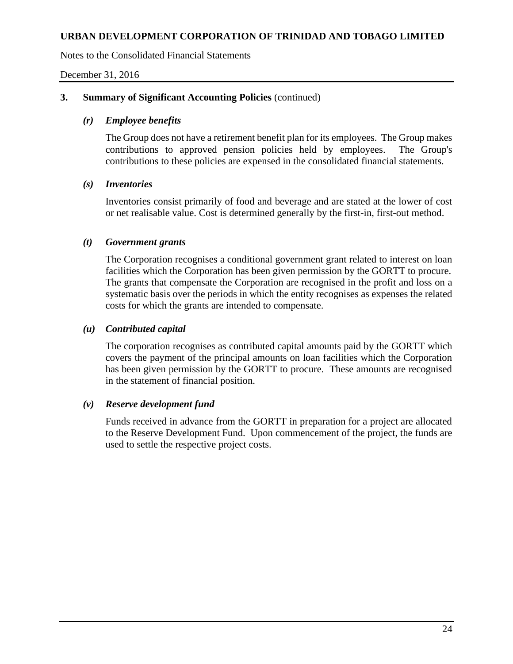Notes to the Consolidated Financial Statements

December 31, 2016

## **3. Summary of Significant Accounting Policies** (continued)

## *(r) Employee benefits*

The Group does not have a retirement benefit plan for its employees. The Group makes contributions to approved pension policies held by employees. The Group's contributions to these policies are expensed in the consolidated financial statements.

### *(s) Inventories*

Inventories consist primarily of food and beverage and are stated at the lower of cost or net realisable value. Cost is determined generally by the first-in, first-out method.

### *(t) Government grants*

The Corporation recognises a conditional government grant related to interest on loan facilities which the Corporation has been given permission by the GORTT to procure. The grants that compensate the Corporation are recognised in the profit and loss on a systematic basis over the periods in which the entity recognises as expenses the related costs for which the grants are intended to compensate.

### *(u) Contributed capital*

The corporation recognises as contributed capital amounts paid by the GORTT which covers the payment of the principal amounts on loan facilities which the Corporation has been given permission by the GORTT to procure. These amounts are recognised in the statement of financial position.

### *(v) Reserve development fund*

Funds received in advance from the GORTT in preparation for a project are allocated to the Reserve Development Fund. Upon commencement of the project, the funds are used to settle the respective project costs.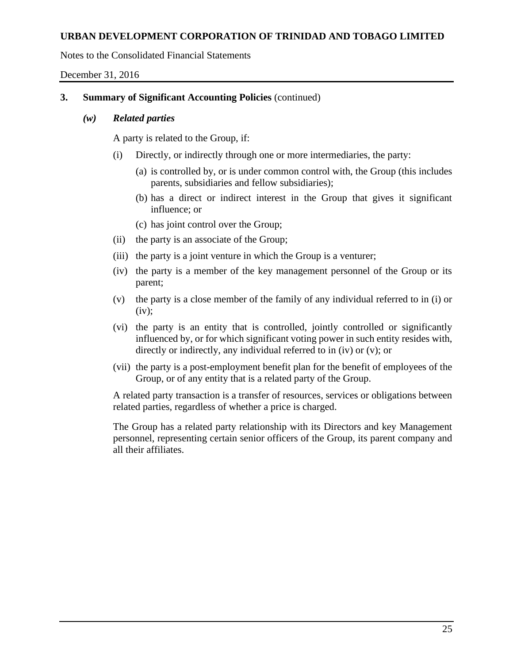Notes to the Consolidated Financial Statements

December 31, 2016

# **3. Summary of Significant Accounting Policies** (continued)

### *(w) Related parties*

A party is related to the Group, if:

- (i) Directly, or indirectly through one or more intermediaries, the party:
	- (a) is controlled by, or is under common control with, the Group (this includes parents, subsidiaries and fellow subsidiaries);
	- (b) has a direct or indirect interest in the Group that gives it significant influence; or
	- (c) has joint control over the Group;
- (ii) the party is an associate of the Group;
- (iii) the party is a joint venture in which the Group is a venturer;
- (iv) the party is a member of the key management personnel of the Group or its parent;
- (v) the party is a close member of the family of any individual referred to in (i) or  $(iv):$
- (vi) the party is an entity that is controlled, jointly controlled or significantly influenced by, or for which significant voting power in such entity resides with, directly or indirectly, any individual referred to in (iv) or (v); or
- (vii) the party is a post-employment benefit plan for the benefit of employees of the Group, or of any entity that is a related party of the Group.

A related party transaction is a transfer of resources, services or obligations between related parties, regardless of whether a price is charged.

The Group has a related party relationship with its Directors and key Management personnel, representing certain senior officers of the Group, its parent company and all their affiliates.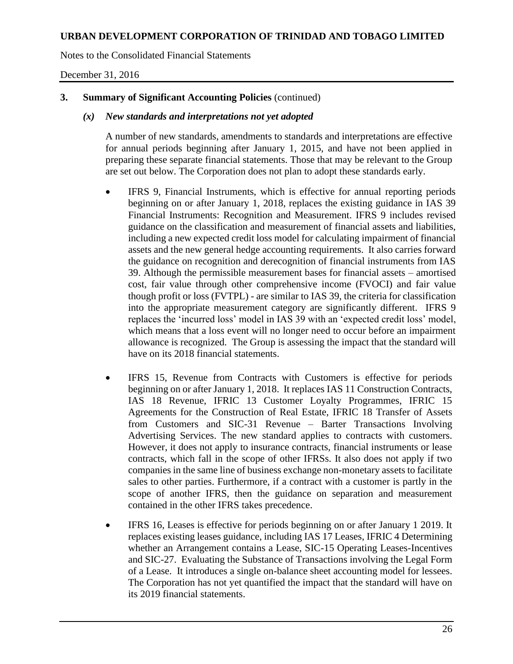Notes to the Consolidated Financial Statements

December 31, 2016

# **3. Summary of Significant Accounting Policies** (continued)

### *(x) New standards and interpretations not yet adopted*

A number of new standards, amendments to standards and interpretations are effective for annual periods beginning after January 1, 2015, and have not been applied in preparing these separate financial statements. Those that may be relevant to the Group are set out below. The Corporation does not plan to adopt these standards early.

- IFRS 9, Financial Instruments, which is effective for annual reporting periods beginning on or after January 1, 2018, replaces the existing guidance in IAS 39 Financial Instruments: Recognition and Measurement. IFRS 9 includes revised guidance on the classification and measurement of financial assets and liabilities, including a new expected credit loss model for calculating impairment of financial assets and the new general hedge accounting requirements. It also carries forward the guidance on recognition and derecognition of financial instruments from IAS 39. Although the permissible measurement bases for financial assets – amortised cost, fair value through other comprehensive income (FVOCI) and fair value though profit or loss (FVTPL) - are similar to IAS 39, the criteria for classification into the appropriate measurement category are significantly different. IFRS 9 replaces the 'incurred loss' model in IAS 39 with an 'expected credit loss' model, which means that a loss event will no longer need to occur before an impairment allowance is recognized. The Group is assessing the impact that the standard will have on its 2018 financial statements.
- IFRS 15, Revenue from Contracts with Customers is effective for periods beginning on or after January 1, 2018. It replaces IAS 11 Construction Contracts, IAS 18 Revenue, IFRIC 13 Customer Loyalty Programmes, IFRIC 15 Agreements for the Construction of Real Estate, IFRIC 18 Transfer of Assets from Customers and SIC-31 Revenue – Barter Transactions Involving Advertising Services. The new standard applies to contracts with customers. However, it does not apply to insurance contracts, financial instruments or lease contracts, which fall in the scope of other IFRSs. It also does not apply if two companies in the same line of business exchange non-monetary assets to facilitate sales to other parties. Furthermore, if a contract with a customer is partly in the scope of another IFRS, then the guidance on separation and measurement contained in the other IFRS takes precedence.
- IFRS 16, Leases is effective for periods beginning on or after January 1 2019. It replaces existing leases guidance, including IAS 17 Leases, IFRIC 4 Determining whether an Arrangement contains a Lease, SIC-15 Operating Leases-Incentives and SIC-27. Evaluating the Substance of Transactions involving the Legal Form of a Lease. It introduces a single on-balance sheet accounting model for lessees. The Corporation has not yet quantified the impact that the standard will have on its 2019 financial statements.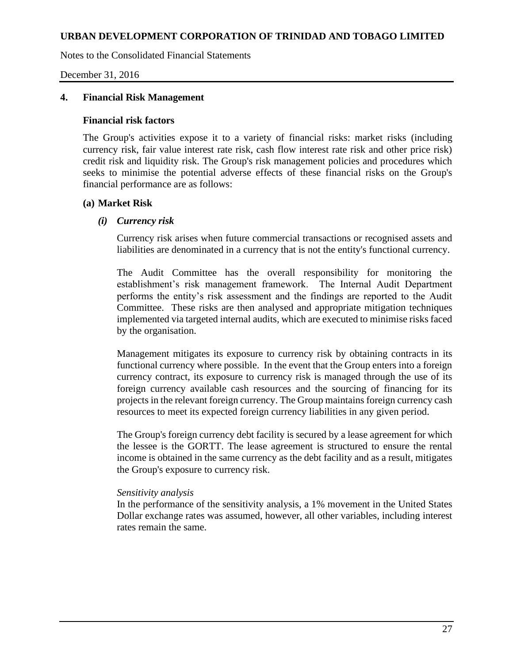Notes to the Consolidated Financial Statements

December 31, 2016

### **4. Financial Risk Management**

#### **Financial risk factors**

The Group's activities expose it to a variety of financial risks: market risks (including currency risk, fair value interest rate risk, cash flow interest rate risk and other price risk) credit risk and liquidity risk. The Group's risk management policies and procedures which seeks to minimise the potential adverse effects of these financial risks on the Group's financial performance are as follows:

### **(a) Market Risk**

### *(i) Currency risk*

Currency risk arises when future commercial transactions or recognised assets and liabilities are denominated in a currency that is not the entity's functional currency.

The Audit Committee has the overall responsibility for monitoring the establishment's risk management framework. The Internal Audit Department performs the entity's risk assessment and the findings are reported to the Audit Committee. These risks are then analysed and appropriate mitigation techniques implemented via targeted internal audits, which are executed to minimise risks faced by the organisation.

Management mitigates its exposure to currency risk by obtaining contracts in its functional currency where possible. In the event that the Group enters into a foreign currency contract, its exposure to currency risk is managed through the use of its foreign currency available cash resources and the sourcing of financing for its projects in the relevant foreign currency. The Group maintains foreign currency cash resources to meet its expected foreign currency liabilities in any given period.

The Group's foreign currency debt facility is secured by a lease agreement for which the lessee is the GORTT. The lease agreement is structured to ensure the rental income is obtained in the same currency as the debt facility and as a result, mitigates the Group's exposure to currency risk.

### *Sensitivity analysis*

In the performance of the sensitivity analysis, a 1% movement in the United States Dollar exchange rates was assumed, however, all other variables, including interest rates remain the same.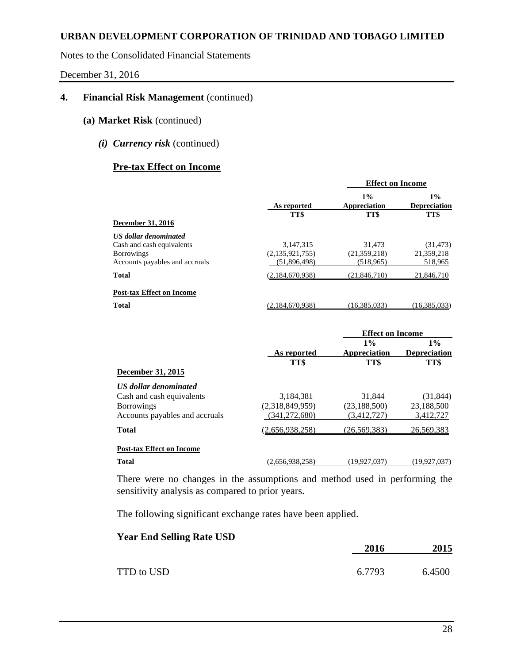Notes to the Consolidated Financial Statements

December 31, 2016

# **4. Financial Risk Management** (continued)

- **(a) Market Risk** (continued)
	- *(i) Currency risk* (continued)

# **Pre-tax Effect on Income**

|                                                                                                                  |                                              | <b>Effect on Income</b>              |                                      |  |
|------------------------------------------------------------------------------------------------------------------|----------------------------------------------|--------------------------------------|--------------------------------------|--|
| <b>December 31, 2016</b>                                                                                         | As reported<br>TT\$                          | $1\%$<br>Appreciation<br>TT\$        | $1\%$<br><b>Depreciation</b><br>TT\$ |  |
| <b>US</b> dollar denominated<br>Cash and cash equivalents<br><b>Borrowings</b><br>Accounts payables and accruals | 3,147,315<br>(2,135,921,755)<br>(51,896,498) | 31.473<br>(21,359,218)<br>(518, 965) | (31, 473)<br>21,359,218<br>518,965   |  |
| <b>Total</b>                                                                                                     | (2,184,670,938)                              | (21, 846, 710)                       | 21,846,710                           |  |
| <b>Post-tax Effect on Income</b><br><b>Total</b>                                                                 | (2.184.670.938)                              | (16.385.033)                         | (16.385.033)                         |  |

|                                  |                 | <b>Effect on Income</b> |                     |  |
|----------------------------------|-----------------|-------------------------|---------------------|--|
|                                  |                 | $1\%$                   | $1\%$               |  |
|                                  | As reported     | Appreciation            | <b>Depreciation</b> |  |
|                                  | TT\$            | TT\$                    | TT\$                |  |
| <b>December 31, 2015</b>         |                 |                         |                     |  |
| <b>US</b> dollar denominated     |                 |                         |                     |  |
| Cash and cash equivalents        | 3,184,381       | 31.844                  | (31, 844)           |  |
| <b>Borrowings</b>                | (2,318,849,959) | (23, 188, 500)          | 23,188,500          |  |
| Accounts payables and accruals   | (341, 272, 680) | (3,412,727)             | 3,412,727           |  |
| <b>Total</b>                     | (2.656.938.258) | (26.569.383)            | 26,569,383          |  |
| <b>Post-tax Effect on Income</b> |                 |                         |                     |  |
| <b>Total</b>                     | (2.656.938.258) | (19.927.037)            | (19.927.037)        |  |

There were no changes in the assumptions and method used in performing the sensitivity analysis as compared to prior years.

The following significant exchange rates have been applied.

| 2016   | 2015   |
|--------|--------|
| 6.7793 | 6.4500 |
|        |        |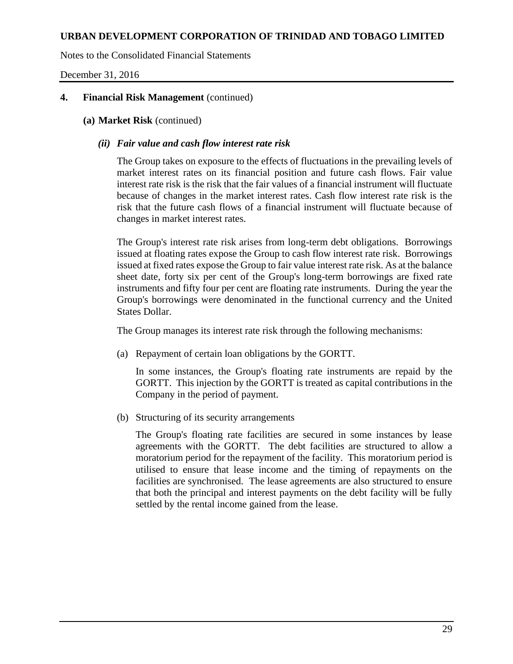Notes to the Consolidated Financial Statements

December 31, 2016

## **4. Financial Risk Management** (continued)

## **(a) Market Risk** (continued)

# *(ii) Fair value and cash flow interest rate risk*

The Group takes on exposure to the effects of fluctuations in the prevailing levels of market interest rates on its financial position and future cash flows. Fair value interest rate risk is the risk that the fair values of a financial instrument will fluctuate because of changes in the market interest rates. Cash flow interest rate risk is the risk that the future cash flows of a financial instrument will fluctuate because of changes in market interest rates.

The Group's interest rate risk arises from long-term debt obligations. Borrowings issued at floating rates expose the Group to cash flow interest rate risk. Borrowings issued at fixed rates expose the Group to fair value interest rate risk. As at the balance sheet date, forty six per cent of the Group's long-term borrowings are fixed rate instruments and fifty four per cent are floating rate instruments. During the year the Group's borrowings were denominated in the functional currency and the United States Dollar.

The Group manages its interest rate risk through the following mechanisms:

(a) Repayment of certain loan obligations by the GORTT.

In some instances, the Group's floating rate instruments are repaid by the GORTT. This injection by the GORTT is treated as capital contributions in the Company in the period of payment.

(b) Structuring of its security arrangements

The Group's floating rate facilities are secured in some instances by lease agreements with the GORTT. The debt facilities are structured to allow a moratorium period for the repayment of the facility. This moratorium period is utilised to ensure that lease income and the timing of repayments on the facilities are synchronised. The lease agreements are also structured to ensure that both the principal and interest payments on the debt facility will be fully settled by the rental income gained from the lease.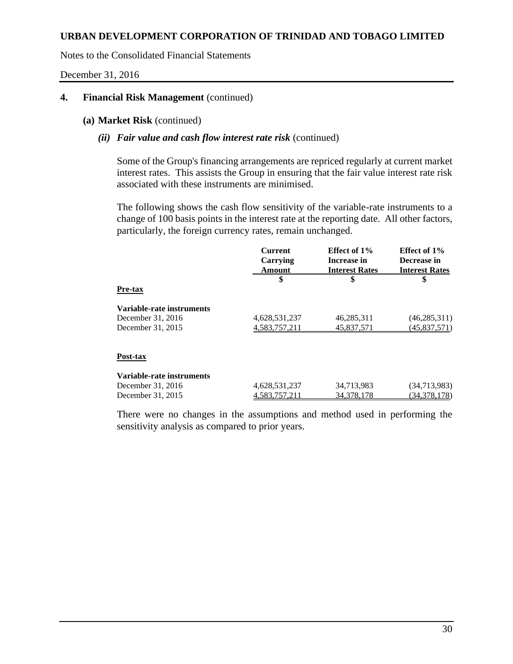Notes to the Consolidated Financial Statements

December 31, 2016

# **4. Financial Risk Management** (continued)

#### **(a) Market Risk** (continued)

### *(ii) Fair value and cash flow interest rate risk* (continued)

Some of the Group's financing arrangements are repriced regularly at current market interest rates. This assists the Group in ensuring that the fair value interest rate risk associated with these instruments are minimised.

The following shows the cash flow sensitivity of the variable-rate instruments to a change of 100 basis points in the interest rate at the reporting date. All other factors, particularly, the foreign currency rates, remain unchanged.

|                           | <b>Current</b>            | Effect of 1%                         | Effect of 1%                         |
|---------------------------|---------------------------|--------------------------------------|--------------------------------------|
|                           | Carrying<br><b>Amount</b> | Increase in<br><b>Interest Rates</b> | Decrease in<br><b>Interest Rates</b> |
|                           | \$                        | \$                                   | \$                                   |
| Pre-tax                   |                           |                                      |                                      |
| Variable-rate instruments |                           |                                      |                                      |
| December 31, 2016         | 4,628,531,237             | 46,285,311                           | (46, 285, 311)                       |
| December 31, 2015         | 4,583,757,211             | 45,837,571                           | (45,837,571)                         |
|                           |                           |                                      |                                      |
| Post-tax                  |                           |                                      |                                      |
| Variable-rate instruments |                           |                                      |                                      |
| December 31, 2016         | 4,628,531,237             | 34,713,983                           | (34,713,983)                         |
| December 31, 2015         | 4.583.757.211             | 34, 378, 178                         | (34,378,178)                         |
|                           |                           |                                      |                                      |

There were no changes in the assumptions and method used in performing the sensitivity analysis as compared to prior years.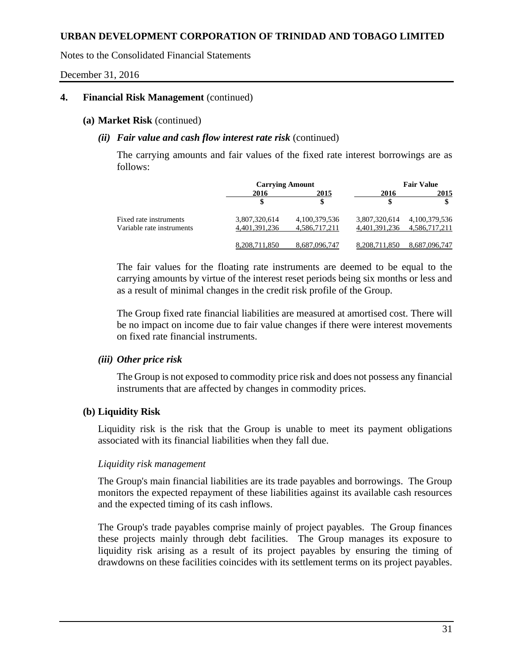Notes to the Consolidated Financial Statements

December 31, 2016

#### **4. Financial Risk Management** (continued)

#### **(a) Market Risk** (continued)

### *(ii) Fair value and cash flow interest rate risk* (continued)

The carrying amounts and fair values of the fixed rate interest borrowings are as follows:

|                           | <b>Carrying Amount</b> |               |               | <b>Fair Value</b> |
|---------------------------|------------------------|---------------|---------------|-------------------|
|                           | 2016                   | 2015          | 2016          | 2015              |
|                           | \$                     |               |               |                   |
| Fixed rate instruments    | 3,807,320,614          | 4,100,379,536 | 3,807,320,614 | 4,100,379,536     |
| Variable rate instruments | 4,401,391,236          | 4,586,717,211 | 4,401,391,236 | 4,586,717,211     |
|                           | 8.208.711.850          | 8.687.096.747 | 8.208.711.850 | 8.687.096.747     |

The fair values for the floating rate instruments are deemed to be equal to the carrying amounts by virtue of the interest reset periods being six months or less and as a result of minimal changes in the credit risk profile of the Group.

The Group fixed rate financial liabilities are measured at amortised cost. There will be no impact on income due to fair value changes if there were interest movements on fixed rate financial instruments.

### *(iii) Other price risk*

The Group is not exposed to commodity price risk and does not possess any financial instruments that are affected by changes in commodity prices.

### **(b) Liquidity Risk**

Liquidity risk is the risk that the Group is unable to meet its payment obligations associated with its financial liabilities when they fall due.

### *Liquidity risk management*

The Group's main financial liabilities are its trade payables and borrowings. The Group monitors the expected repayment of these liabilities against its available cash resources and the expected timing of its cash inflows.

The Group's trade payables comprise mainly of project payables. The Group finances these projects mainly through debt facilities. The Group manages its exposure to liquidity risk arising as a result of its project payables by ensuring the timing of drawdowns on these facilities coincides with its settlement terms on its project payables.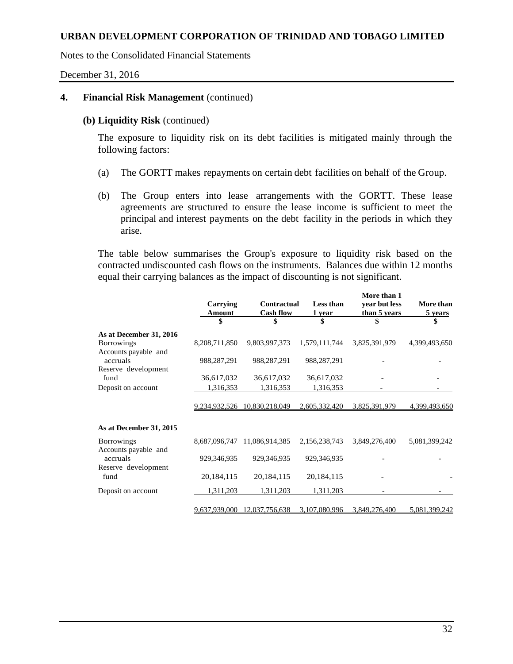Notes to the Consolidated Financial Statements

December 31, 2016

# **4. Financial Risk Management** (continued)

#### **(b) Liquidity Risk** (continued)

The exposure to liquidity risk on its debt facilities is mitigated mainly through the following factors:

- (a) The GORTT makes repayments on certain debt facilities on behalf of the Group.
- (b) The Group enters into lease arrangements with the GORTT. These lease agreements are structured to ensure the lease income is sufficient to meet the principal and interest payments on the debt facility in the periods in which they arise.

The table below summarises the Group's exposure to liquidity risk based on the contracted undiscounted cash flows on the instruments. Balances due within 12 months equal their carrying balances as the impact of discounting is not significant.

|                                           | Carrying<br>Amount | Contractual<br><b>Cash flow</b> | Less than<br>1 year | More than 1<br>year but less<br>than 5 years | <b>More than</b><br>5 years |
|-------------------------------------------|--------------------|---------------------------------|---------------------|----------------------------------------------|-----------------------------|
|                                           | \$                 | \$                              | \$                  | \$                                           |                             |
| As at December 31, 2016                   |                    |                                 |                     |                                              |                             |
| <b>Borrowings</b><br>Accounts payable and | 8,208,711,850      | 9,803,997,373                   | 1,579,111,744       | 3,825,391,979                                | 4,399,493,650               |
| accruals                                  | 988,287,291        | 988,287,291                     | 988,287,291         |                                              |                             |
| Reserve development                       |                    |                                 |                     |                                              |                             |
| fund                                      | 36,617,032         | 36,617,032                      | 36,617,032          |                                              |                             |
| Deposit on account                        | 1,316,353          | 1,316,353                       | 1,316,353           |                                              |                             |
|                                           |                    |                                 |                     |                                              |                             |
|                                           |                    | 9,234,932,526 10,830,218,049    | 2,605,332,420       | 3.825.391.979                                | 4,399,493,650               |
| As at December 31, 2015                   |                    |                                 |                     |                                              |                             |
| <b>Borrowings</b><br>Accounts payable and | 8,687,096,747      | 11,086,914,385                  | 2,156,238,743       | 3,849,276,400                                | 5,081,399,242               |
| accruals<br>Reserve development           | 929, 346, 935      | 929, 346, 935                   | 929, 346, 935       |                                              |                             |
| fund                                      | 20,184,115         | 20, 184, 115                    | 20, 184, 115        |                                              |                             |
| Deposit on account                        | 1,311,203          | 1,311,203                       | 1,311,203           |                                              |                             |
|                                           | 9,637,939,000      | 12,037,756,638                  | 3,107,080,996       | 3,849,276,400                                | 5,081,399,242               |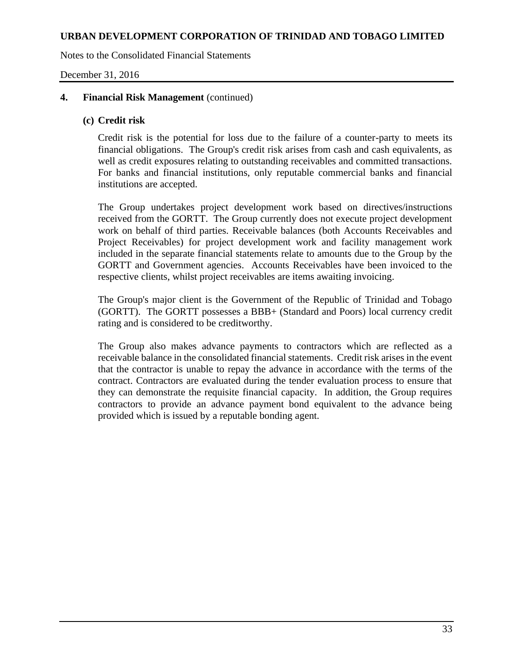Notes to the Consolidated Financial Statements

December 31, 2016

### **4. Financial Risk Management** (continued)

### **(c) Credit risk**

Credit risk is the potential for loss due to the failure of a counter-party to meets its financial obligations. The Group's credit risk arises from cash and cash equivalents, as well as credit exposures relating to outstanding receivables and committed transactions. For banks and financial institutions, only reputable commercial banks and financial institutions are accepted.

The Group undertakes project development work based on directives/instructions received from the GORTT. The Group currently does not execute project development work on behalf of third parties. Receivable balances (both Accounts Receivables and Project Receivables) for project development work and facility management work included in the separate financial statements relate to amounts due to the Group by the GORTT and Government agencies. Accounts Receivables have been invoiced to the respective clients, whilst project receivables are items awaiting invoicing.

The Group's major client is the Government of the Republic of Trinidad and Tobago (GORTT). The GORTT possesses a BBB+ (Standard and Poors) local currency credit rating and is considered to be creditworthy.

The Group also makes advance payments to contractors which are reflected as a receivable balance in the consolidated financial statements. Credit risk arises in the event that the contractor is unable to repay the advance in accordance with the terms of the contract. Contractors are evaluated during the tender evaluation process to ensure that they can demonstrate the requisite financial capacity. In addition, the Group requires contractors to provide an advance payment bond equivalent to the advance being provided which is issued by a reputable bonding agent.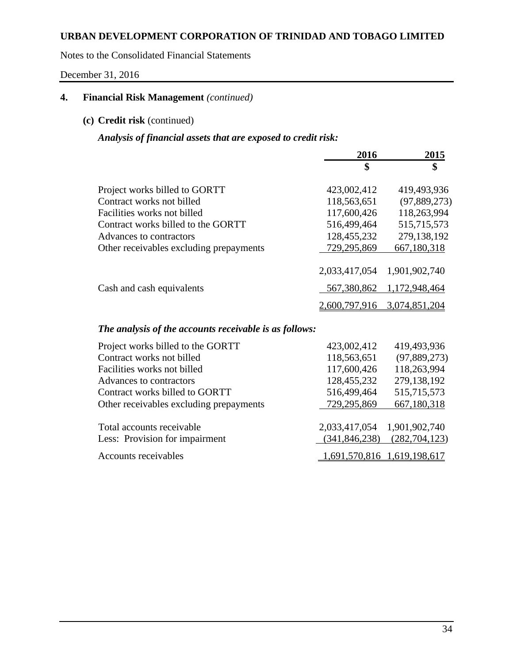Notes to the Consolidated Financial Statements

December 31, 2016

# **4. Financial Risk Management** *(continued)*

# **(c) Credit risk** (continued)

# *Analysis of financial assets that are exposed to credit risk:*

|                                         | 2016          | 2015          |
|-----------------------------------------|---------------|---------------|
|                                         | \$            | \$            |
| Project works billed to GORTT           | 423,002,412   | 419,493,936   |
| Contract works not billed               | 118,563,651   | (97,889,273)  |
| Facilities works not billed             | 117,600,426   | 118,263,994   |
| Contract works billed to the GORTT      | 516,499,464   | 515,715,573   |
| Advances to contractors                 | 128,455,232   | 279,138,192   |
| Other receivables excluding prepayments | 729,295,869   | 667,180,318   |
|                                         | 2,033,417,054 | 1,901,902,740 |
| Cash and cash equivalents               | 567,380,862   | 1,172,948,464 |
|                                         | 2,600,797,916 | 3,074,851,204 |

# *The analysis of the accounts receivable is as follows:*

| Project works billed to the GORTT       | 423,002,412                 | 419,493,936     |
|-----------------------------------------|-----------------------------|-----------------|
| Contract works not billed               | 118,563,651                 | (97, 889, 273)  |
| Facilities works not billed             | 117,600,426                 | 118,263,994     |
| Advances to contractors                 | 128,455,232                 | 279,138,192     |
| Contract works billed to GORTT          | 516,499,464                 | 515,715,573     |
| Other receivables excluding prepayments | 729,295,869                 | 667,180,318     |
| Total accounts receivable               | 2,033,417,054 1,901,902,740 |                 |
| Less: Provision for impairment          | (341, 846, 238)             | (282, 704, 123) |
| Accounts receivables                    | 1,691,570,816 1,619,198,617 |                 |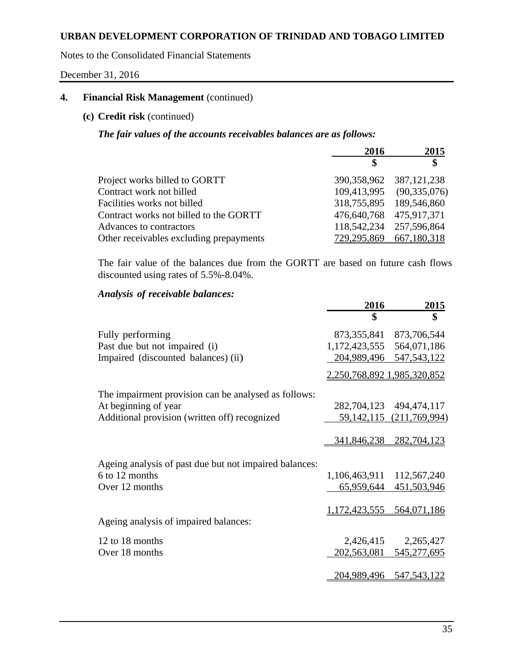Notes to the Consolidated Financial Statements

December 31, 2016

# **4. Financial Risk Management** (continued)

# **(c) Credit risk** (continued)

*The fair values of the accounts receivables balances are as follows:*

|                                         | 2016                    | 2015                        |
|-----------------------------------------|-------------------------|-----------------------------|
|                                         | S                       | \$                          |
| Project works billed to GORTT           |                         | 390, 358, 962 387, 121, 238 |
| Contract work not billed                |                         | 109,413,995 (90,335,076)    |
| Facilities works not billed             |                         | 318,755,895 189,546,860     |
| Contract works not billed to the GORTT  | 476,640,768 475,917,371 |                             |
| Advances to contractors                 |                         | 118, 542, 234 257, 596, 864 |
| Other receivables excluding prepayments |                         | 729,295,869 667,180,318     |

The fair value of the balances due from the GORTT are based on future cash flows discounted using rates of 5.5%-8.04%.

# *Analysis of receivable balances:*

|                                                        | 2016                        | <u>2015</u>                  |
|--------------------------------------------------------|-----------------------------|------------------------------|
|                                                        | \$                          | \$                           |
| Fully performing                                       |                             | 873, 355, 841 873, 706, 544  |
| Past due but not impaired (i)                          | 1,172,423,555               | 564,071,186                  |
| Impaired (discounted balances) (ii)                    |                             | 204,989,496 547,543,122      |
|                                                        | 2,250,768,892 1,985,320,852 |                              |
| The impairment provision can be analysed as follows:   |                             |                              |
| At beginning of year                                   |                             | 282,704,123 494,474,117      |
| Additional provision (written off) recognized          |                             | 59, 142, 115 (211, 769, 994) |
|                                                        |                             |                              |
|                                                        |                             | 341,846,238 282,704,123      |
| Ageing analysis of past due but not impaired balances: |                             |                              |
| 6 to 12 months                                         | 1,106,463,911 112,567,240   |                              |
| Over 12 months                                         |                             | 65,959,644 451,503,946       |
|                                                        |                             |                              |
|                                                        | 1,172,423,555 564,071,186   |                              |
| Ageing analysis of impaired balances:                  |                             |                              |
| 12 to 18 months                                        | 2,426,415                   | 2,265,427                    |
| Over 18 months                                         |                             | 202,563,081 545,277,695      |
|                                                        |                             |                              |
|                                                        |                             | 204,989,496 547,543,122      |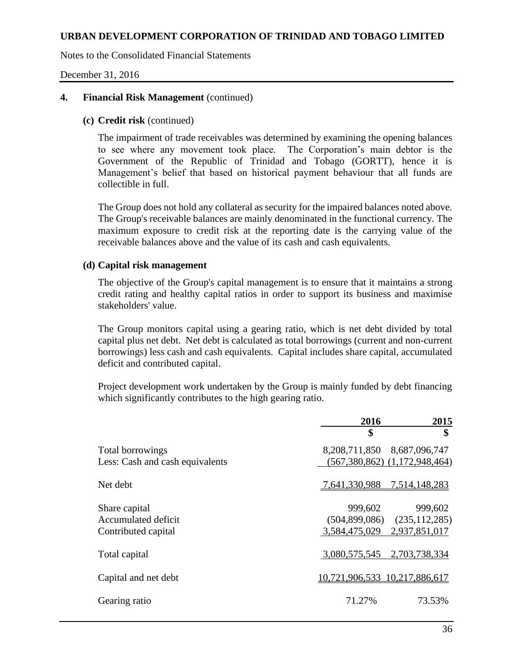Notes to the Consolidated Financial Statements

December 31, 2016

### **4. Financial Risk Management** (continued)

### **(c) Credit risk** (continued)

The impairment of trade receivables was determined by examining the opening balances to see where any movement took place. The Corporation's main debtor is the Government of the Republic of Trinidad and Tobago (GORTT), hence it is Management's belief that based on historical payment behaviour that all funds are collectible in full.

The Group does not hold any collateral as security for the impaired balances noted above. The Group's receivable balances are mainly denominated in the functional currency. The maximum exposure to credit risk at the reporting date is the carrying value of the receivable balances above and the value of its cash and cash equivalents.

### **(d) Capital risk management**

The objective of the Group's capital management is to ensure that it maintains a strong credit rating and healthy capital ratios in order to support its business and maximise stakeholders' value.

The Group monitors capital using a gearing ratio, which is net debt divided by total capital plus net debt. Net debt is calculated as total borrowings (current and non-current borrowings) less cash and cash equivalents. Capital includes share capital, accumulated deficit and contributed capital.

Project development work undertaken by the Group is mainly funded by debt financing which significantly contributes to the high gearing ratio.

|                                 | 2016                              | 2015          |  |
|---------------------------------|-----------------------------------|---------------|--|
|                                 | \$                                | \$            |  |
| Total borrowings                | 8,208,711,850 8,687,096,747       |               |  |
| Less: Cash and cash equivalents | $(567,380,862)$ $(1,172,948,464)$ |               |  |
| Net debt                        | 7,641,330,988                     | 7,514,148,283 |  |
| Share capital                   | 999,602                           | 999,602       |  |
| Accumulated deficit             | $(504,899,086)$ $(235,112,285)$   |               |  |
| Contributed capital             | 3,584,475,029 2,937,851,017       |               |  |
| Total capital                   | 3,080,575,545                     | 2,703,738,334 |  |
| Capital and net debt            | 10,721,906,533 10,217,886,617     |               |  |
| Gearing ratio                   | 71.27%                            | 73.53%        |  |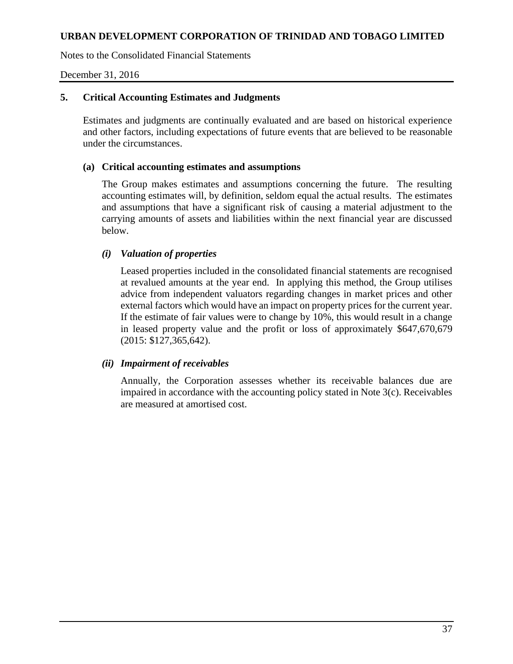Notes to the Consolidated Financial Statements

December 31, 2016

# **5. Critical Accounting Estimates and Judgments**

Estimates and judgments are continually evaluated and are based on historical experience and other factors, including expectations of future events that are believed to be reasonable under the circumstances.

### **(a) Critical accounting estimates and assumptions**

The Group makes estimates and assumptions concerning the future. The resulting accounting estimates will, by definition, seldom equal the actual results. The estimates and assumptions that have a significant risk of causing a material adjustment to the carrying amounts of assets and liabilities within the next financial year are discussed below.

# *(i) Valuation of properties*

Leased properties included in the consolidated financial statements are recognised at revalued amounts at the year end. In applying this method, the Group utilises advice from independent valuators regarding changes in market prices and other external factors which would have an impact on property prices for the current year. If the estimate of fair values were to change by 10%, this would result in a change in leased property value and the profit or loss of approximately \$647,670,679 (2015: \$127,365,642).

### *(ii) Impairment of receivables*

Annually, the Corporation assesses whether its receivable balances due are impaired in accordance with the accounting policy stated in Note 3(c). Receivables are measured at amortised cost.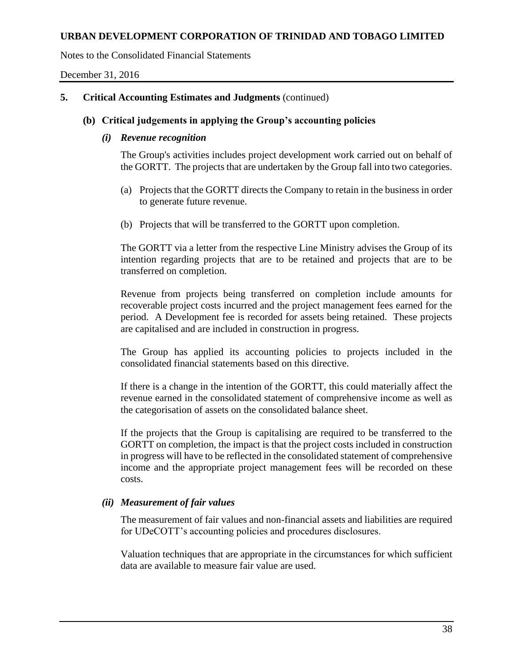Notes to the Consolidated Financial Statements

December 31, 2016

# **5. Critical Accounting Estimates and Judgments** (continued)

## **(b) Critical judgements in applying the Group's accounting policies**

### *(i) Revenue recognition*

The Group's activities includes project development work carried out on behalf of the GORTT. The projects that are undertaken by the Group fall into two categories.

- (a) Projects that the GORTT directs the Company to retain in the business in order to generate future revenue.
- (b) Projects that will be transferred to the GORTT upon completion.

The GORTT via a letter from the respective Line Ministry advises the Group of its intention regarding projects that are to be retained and projects that are to be transferred on completion.

Revenue from projects being transferred on completion include amounts for recoverable project costs incurred and the project management fees earned for the period. A Development fee is recorded for assets being retained. These projects are capitalised and are included in construction in progress.

The Group has applied its accounting policies to projects included in the consolidated financial statements based on this directive.

If there is a change in the intention of the GORTT, this could materially affect the revenue earned in the consolidated statement of comprehensive income as well as the categorisation of assets on the consolidated balance sheet.

If the projects that the Group is capitalising are required to be transferred to the GORTT on completion, the impact is that the project costs included in construction in progress will have to be reflected in the consolidated statement of comprehensive income and the appropriate project management fees will be recorded on these costs.

# *(ii) Measurement of fair values*

The measurement of fair values and non-financial assets and liabilities are required for UDeCOTT's accounting policies and procedures disclosures.

Valuation techniques that are appropriate in the circumstances for which sufficient data are available to measure fair value are used.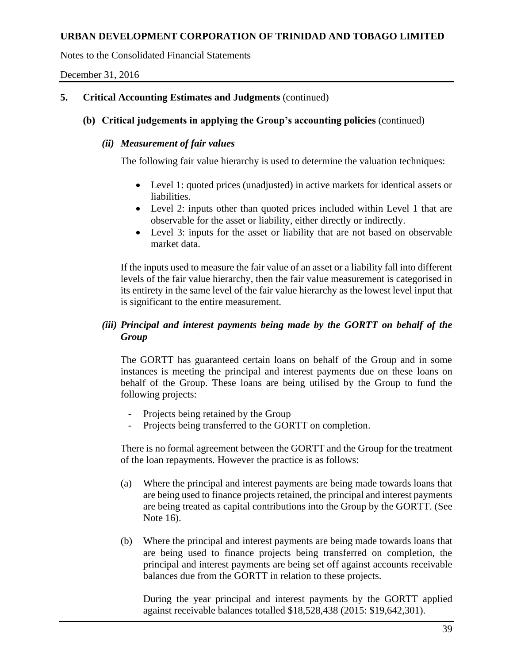Notes to the Consolidated Financial Statements

December 31, 2016

# **5. Critical Accounting Estimates and Judgments** (continued)

# **(b) Critical judgements in applying the Group's accounting policies** (continued)

## *(ii) Measurement of fair values*

The following fair value hierarchy is used to determine the valuation techniques:

- Level 1: quoted prices (unadjusted) in active markets for identical assets or liabilities.
- Level 2: inputs other than quoted prices included within Level 1 that are observable for the asset or liability, either directly or indirectly.
- Level 3: inputs for the asset or liability that are not based on observable market data.

If the inputs used to measure the fair value of an asset or a liability fall into different levels of the fair value hierarchy, then the fair value measurement is categorised in its entirety in the same level of the fair value hierarchy as the lowest level input that is significant to the entire measurement.

# *(iii) Principal and interest payments being made by the GORTT on behalf of the Group*

The GORTT has guaranteed certain loans on behalf of the Group and in some instances is meeting the principal and interest payments due on these loans on behalf of the Group. These loans are being utilised by the Group to fund the following projects:

- Projects being retained by the Group
- Projects being transferred to the GORTT on completion.

There is no formal agreement between the GORTT and the Group for the treatment of the loan repayments. However the practice is as follows:

- (a) Where the principal and interest payments are being made towards loans that are being used to finance projects retained, the principal and interest payments are being treated as capital contributions into the Group by the GORTT. (See Note 16).
- (b) Where the principal and interest payments are being made towards loans that are being used to finance projects being transferred on completion, the principal and interest payments are being set off against accounts receivable balances due from the GORTT in relation to these projects.

During the year principal and interest payments by the GORTT applied against receivable balances totalled \$18,528,438 (2015: \$19,642,301).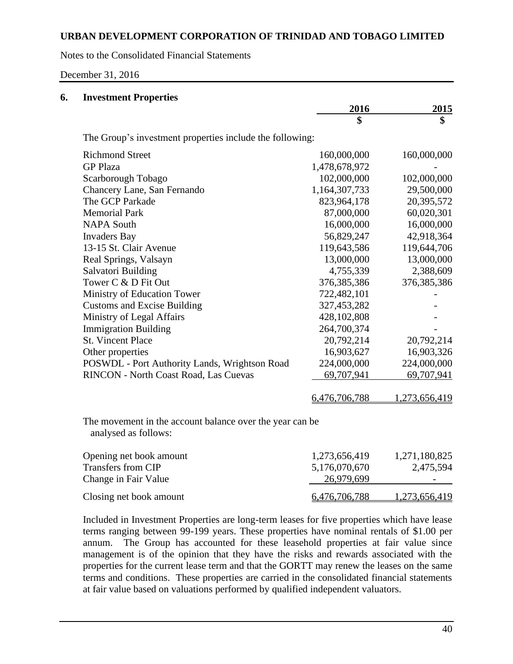Notes to the Consolidated Financial Statements

December 31, 2016

| 6. | <b>Investment Properties</b>                                                      |               |               |
|----|-----------------------------------------------------------------------------------|---------------|---------------|
|    |                                                                                   | 2016          | 2015          |
|    |                                                                                   | \$            | \$            |
|    | The Group's investment properties include the following:                          |               |               |
|    | <b>Richmond Street</b>                                                            | 160,000,000   | 160,000,000   |
|    | <b>GP Plaza</b>                                                                   | 1,478,678,972 |               |
|    | Scarborough Tobago                                                                | 102,000,000   | 102,000,000   |
|    | Chancery Lane, San Fernando                                                       | 1,164,307,733 | 29,500,000    |
|    | The GCP Parkade                                                                   | 823,964,178   | 20,395,572    |
|    | <b>Memorial Park</b>                                                              | 87,000,000    | 60,020,301    |
|    | <b>NAPA South</b>                                                                 | 16,000,000    | 16,000,000    |
|    | <b>Invaders Bay</b>                                                               | 56,829,247    | 42,918,364    |
|    | 13-15 St. Clair Avenue                                                            | 119,643,586   | 119,644,706   |
|    | Real Springs, Valsayn                                                             | 13,000,000    | 13,000,000    |
|    | Salvatori Building                                                                | 4,755,339     | 2,388,609     |
|    | Tower C & D Fit Out                                                               | 376, 385, 386 | 376, 385, 386 |
|    | Ministry of Education Tower                                                       | 722,482,101   |               |
|    | <b>Customs and Excise Building</b>                                                | 327,453,282   |               |
|    | Ministry of Legal Affairs                                                         | 428,102,808   |               |
|    | <b>Immigration Building</b>                                                       | 264,700,374   |               |
|    | <b>St. Vincent Place</b>                                                          | 20,792,214    | 20,792,214    |
|    | Other properties                                                                  | 16,903,627    | 16,903,326    |
|    | POSWDL - Port Authority Lands, Wrightson Road                                     | 224,000,000   | 224,000,000   |
|    | RINCON - North Coast Road, Las Cuevas                                             | 69,707,941    | 69,707,941    |
|    |                                                                                   | 6,476,706,788 | 1,273,656,419 |
|    | The movement in the account balance over the year can be.<br>analysed as follows: |               |               |
|    | Opening net book amount                                                           | 1,273,656,419 | 1,271,180,825 |
|    | <b>Transfers from CIP</b>                                                         | 5,176,070,670 | 2,475,594     |
|    | Change in Fair Value                                                              | 26,979,699    |               |
|    |                                                                                   |               |               |

Included in Investment Properties are long-term leases for five properties which have lease terms ranging between 99-199 years. These properties have nominal rentals of \$1.00 per annum. The Group has accounted for these leasehold properties at fair value since management is of the opinion that they have the risks and rewards associated with the properties for the current lease term and that the GORTT may renew the leases on the same terms and conditions. These properties are carried in the consolidated financial statements at fair value based on valuations performed by qualified independent valuators.

Closing net book amount 6,476,706,788 1,273,656,419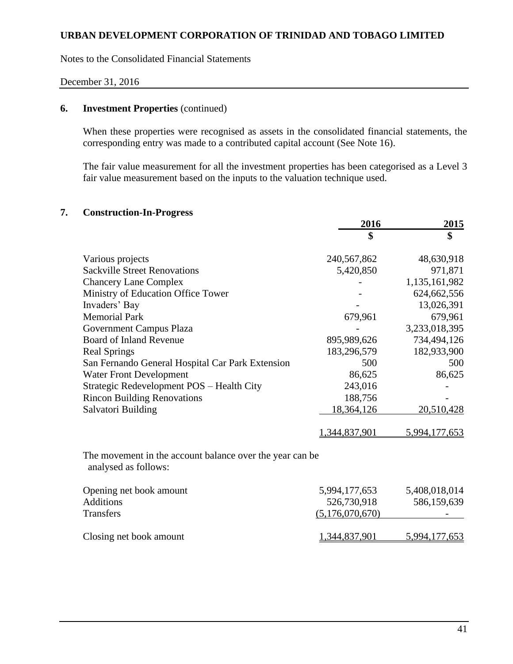Notes to the Consolidated Financial Statements

#### December 31, 2016

# **6. Investment Properties** (continued)

When these properties were recognised as assets in the consolidated financial statements, the corresponding entry was made to a contributed capital account (See Note 16).

The fair value measurement for all the investment properties has been categorised as a Level 3 fair value measurement based on the inputs to the valuation technique used.

## **7. Construction-In-Progress**

|                                                                                  | 2016            | 2015          |
|----------------------------------------------------------------------------------|-----------------|---------------|
|                                                                                  | \$              | \$            |
| Various projects                                                                 | 240,567,862     | 48,630,918    |
| <b>Sackville Street Renovations</b>                                              | 5,420,850       | 971,871       |
| <b>Chancery Lane Complex</b>                                                     |                 | 1,135,161,982 |
| Ministry of Education Office Tower                                               |                 | 624, 662, 556 |
| Invaders' Bay                                                                    |                 | 13,026,391    |
| <b>Memorial Park</b>                                                             | 679,961         | 679,961       |
| Government Campus Plaza                                                          |                 | 3,233,018,395 |
| Board of Inland Revenue                                                          | 895,989,626     | 734,494,126   |
| <b>Real Springs</b>                                                              | 183,296,579     | 182,933,900   |
| San Fernando General Hospital Car Park Extension                                 | 500             | 500           |
| <b>Water Front Development</b>                                                   | 86,625          | 86,625        |
| Strategic Redevelopment POS - Health City                                        | 243,016         |               |
| <b>Rincon Building Renovations</b>                                               | 188,756         |               |
| Salvatori Building                                                               | 18,364,126      | 20,510,428    |
|                                                                                  | 1,344,837,901   | 5,994,177,653 |
| The movement in the account balance over the year can be<br>analysed as follows: |                 |               |
| Opening net book amount                                                          | 5,994,177,653   | 5,408,018,014 |
| <b>Additions</b>                                                                 | 526,730,918     | 586,159,639   |
| <b>Transfers</b>                                                                 | (5,176,070,670) |               |
| Closing net book amount                                                          | 1,344,837,901   | 5,994,177,653 |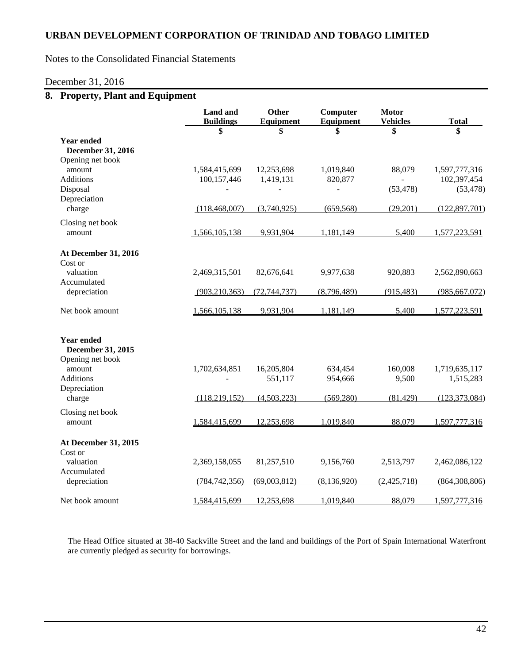Notes to the Consolidated Financial Statements

#### December 31, 2016

# **8. Property, Plant and Equipment**

|                                                             | <b>Land</b> and<br><b>Buildings</b> | Other<br>Equipment         | Computer<br>Equipment      | <b>Motor</b><br><b>Vehicles</b> | <b>Total</b>                              |
|-------------------------------------------------------------|-------------------------------------|----------------------------|----------------------------|---------------------------------|-------------------------------------------|
| <b>Year ended</b><br>December 31, 2016                      | \$                                  | \$                         | \$                         | \$                              | \$                                        |
| Opening net book<br>amount<br><b>Additions</b><br>Disposal  | 1,584,415,699<br>100,157,446        | 12,253,698<br>1,419,131    | 1,019,840<br>820,877       | 88,079<br>(53, 478)             | 1,597,777,316<br>102,397,454<br>(53, 478) |
| Depreciation<br>charge                                      | (118, 468, 007)                     | (3,740,925)                | (659, 568)                 | (29,201)                        | (122, 897, 701)                           |
| Closing net book<br>amount                                  | 1,566,105,138                       | 9,931,904                  | 1,181,149                  | 5,400                           | 1,577,223,591                             |
| At December 31, 2016<br>Cost or<br>valuation<br>Accumulated | 2,469,315,501                       | 82,676,641                 | 9,977,638                  | 920,883                         | 2,562,890,663                             |
| depreciation                                                | (903, 210, 363)                     | (72, 744, 737)             | (8,796,489)                | (915, 483)                      | (985, 667, 072)                           |
| Net book amount                                             | 1,566,105,138                       | 9,931,904                  | 1,181,149                  | 5,400                           | 1,577,223,591                             |
| <b>Year ended</b><br>December 31, 2015                      |                                     |                            |                            |                                 |                                           |
| Opening net book<br>amount<br><b>Additions</b>              | 1,702,634,851                       | 16,205,804<br>551,117      | 634,454<br>954,666         | 160,008<br>9,500                | 1,719,635,117<br>1,515,283                |
| Depreciation<br>charge                                      | (118, 219, 152)                     | (4,503,223)                | (569, 280)                 | (81, 429)                       | (123, 373, 084)                           |
| Closing net book<br>amount                                  | 1,584,415,699                       | 12,253,698                 | 1,019,840                  | 88,079                          | 1,597,777,316                             |
| At December 31, 2015<br>Cost or                             |                                     |                            |                            |                                 |                                           |
| valuation<br>Accumulated                                    | 2,369,158,055                       | 81,257,510<br>(69,003,812) | 9,156,760<br>(8, 136, 920) | 2,513,797<br>(2,425,718)        | 2,462,086,122                             |
| depreciation<br>Net book amount                             | (784, 742, 356)<br>1,584,415,699    | 12,253,698                 | 1,019,840                  | 88,079                          | (864, 308, 806)<br>1,597,777,316          |

The Head Office situated at 38-40 Sackville Street and the land and buildings of the Port of Spain International Waterfront are currently pledged as security for borrowings.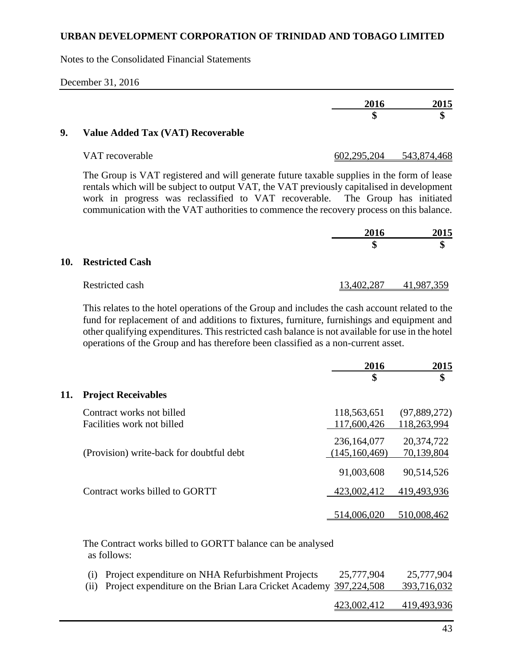Notes to the Consolidated Financial Statements

| 2016    | 2015    |
|---------|---------|
| M<br>۸D | œ<br>۱J |

## **9. Value Added Tax (VAT) Recoverable**

| VAT recoverable | 602,295,204 | 543,874,468 |
|-----------------|-------------|-------------|
|                 |             |             |

The Group is VAT registered and will generate future taxable supplies in the form of lease rentals which will be subject to output VAT, the VAT previously capitalised in development work in progress was reclassified to VAT recoverable. The Group has initiated communication with the VAT authorities to commence the recovery process on this balance.

|                     | 2016       | 2015      |
|---------------------|------------|-----------|
|                     |            | \$        |
| 10. Restricted Cash |            |           |
| Restricted cash     | 13,402,287 | 1,987,359 |

This relates to the hotel operations of the Group and includes the cash account related to the fund for replacement of and additions to fixtures, furniture, furnishings and equipment and other qualifying expenditures. This restricted cash balance is not available for use in the hotel operations of the Group and has therefore been classified as a non-current asset.

|     |                                                         | 2016                             | 2015                        |
|-----|---------------------------------------------------------|----------------------------------|-----------------------------|
|     |                                                         | \$                               | \$                          |
| 11. | <b>Project Receivables</b>                              |                                  |                             |
|     | Contract works not billed<br>Facilities work not billed | 118,563,651<br>117,600,426       | (97,889,272)<br>118,263,994 |
|     | (Provision) write-back for doubtful debt                | 236, 164, 077<br>(145, 160, 469) | 20,374,722<br>70,139,804    |
|     |                                                         | 91,003,608                       | 90,514,526                  |
|     | Contract works billed to GORTT                          | 423,002,412                      | 419,493,936                 |
|     |                                                         | 514,006,020                      | 510,008,462                 |

The Contract works billed to GORTT balance can be analysed as follows:

| (i) Project expenditure on NHA Refurbishment Projects<br>(ii) Project expenditure on the Brian Lara Cricket Academy 397,224,508 | 25,777,904  | 25,777,904<br>393,716,032 |
|---------------------------------------------------------------------------------------------------------------------------------|-------------|---------------------------|
|                                                                                                                                 | 423,002,412 | 419,493,936               |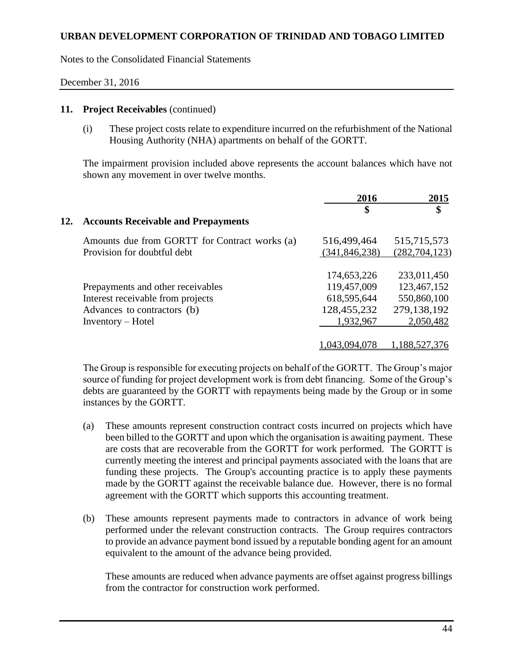Notes to the Consolidated Financial Statements

### December 31, 2016

#### **11. Project Receivables** (continued)

(i) These project costs relate to expenditure incurred on the refurbishment of the National Housing Authority (NHA) apartments on behalf of the GORTT.

The impairment provision included above represents the account balances which have not shown any movement in over twelve months.

|     |                                               | 2016            | 2015            |
|-----|-----------------------------------------------|-----------------|-----------------|
|     |                                               | \$              | \$              |
| 12. | <b>Accounts Receivable and Prepayments</b>    |                 |                 |
|     | Amounts due from GORTT for Contract works (a) | 516,499,464     | 515,715,573     |
|     | Provision for doubtful debt                   | (341, 846, 238) | (282, 704, 123) |
|     |                                               | 174,653,226     | 233,011,450     |
|     | Prepayments and other receivables             | 119,457,009     | 123,467,152     |
|     | Interest receivable from projects             | 618,595,644     | 550,860,100     |
|     | Advances to contractors (b)                   | 128,455,232     | 279,138,192     |
|     | $Inventory - Hotel$                           | 1,932,967       | 2,050,482       |
|     |                                               |                 |                 |
|     |                                               | 1,043,094,078   | 1,188,527,376   |

The Group is responsible for executing projects on behalf of the GORTT. The Group's major source of funding for project development work is from debt financing. Some of the Group's debts are guaranteed by the GORTT with repayments being made by the Group or in some instances by the GORTT.

- (a) These amounts represent construction contract costs incurred on projects which have been billed to the GORTT and upon which the organisation is awaiting payment. These are costs that are recoverable from the GORTT for work performed. The GORTT is currently meeting the interest and principal payments associated with the loans that are funding these projects. The Group's accounting practice is to apply these payments made by the GORTT against the receivable balance due. However, there is no formal agreement with the GORTT which supports this accounting treatment.
- (b) These amounts represent payments made to contractors in advance of work being performed under the relevant construction contracts. The Group requires contractors to provide an advance payment bond issued by a reputable bonding agent for an amount equivalent to the amount of the advance being provided.

These amounts are reduced when advance payments are offset against progress billings from the contractor for construction work performed.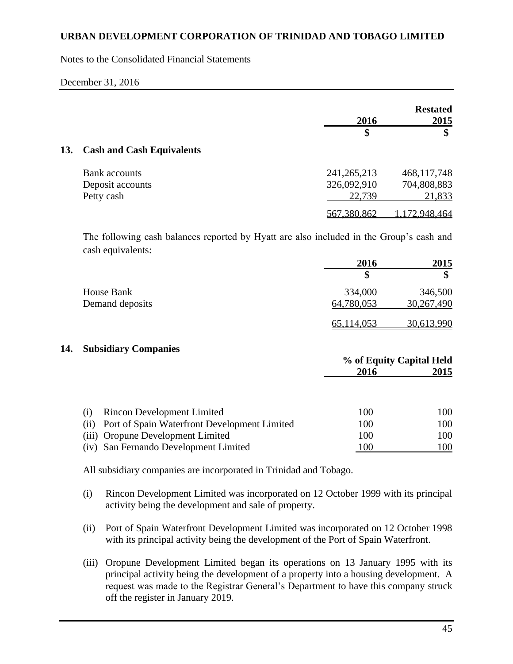Notes to the Consolidated Financial Statements

|     |                                  | 2016          | <b>Restated</b><br>2015 |
|-----|----------------------------------|---------------|-------------------------|
|     |                                  | \$            | \$                      |
| 13. | <b>Cash and Cash Equivalents</b> |               |                         |
|     | <b>Bank</b> accounts             | 241, 265, 213 | 468,117,748             |
|     | Deposit accounts                 | 326,092,910   | 704,808,883             |
|     | Petty cash                       | 22,739        | 21,833                  |
|     |                                  | 567,380,862   | 1,172,948,464           |

The following cash balances reported by Hyatt are also included in the Group's cash and cash equivalents:

|                 | 2016       | 2015       |
|-----------------|------------|------------|
|                 |            |            |
| House Bank      | 334,000    | 346,500    |
| Demand deposits | 64,780,053 | 30,267,490 |
|                 | 65,114,053 | 30,613,990 |

### **14. Subsidiary Companies**

|                                                     |      | % of Equity Capital Held |  |  |
|-----------------------------------------------------|------|--------------------------|--|--|
|                                                     | 2016 | 2015                     |  |  |
|                                                     |      |                          |  |  |
| <b>Rincon Development Limited</b><br>(1)            | 100  | 100                      |  |  |
| Port of Spain Waterfront Development Limited<br>(i) | 100  | 100                      |  |  |
| (iii) Oropune Development Limited                   | 100  | 100                      |  |  |
| San Fernando Development Limited<br>(iv)            | 100  | 100                      |  |  |

All subsidiary companies are incorporated in Trinidad and Tobago.

- (i) Rincon Development Limited was incorporated on 12 October 1999 with its principal activity being the development and sale of property.
- (ii) Port of Spain Waterfront Development Limited was incorporated on 12 October 1998 with its principal activity being the development of the Port of Spain Waterfront.
- (iii) Oropune Development Limited began its operations on 13 January 1995 with its principal activity being the development of a property into a housing development. A request was made to the Registrar General's Department to have this company struck off the register in January 2019.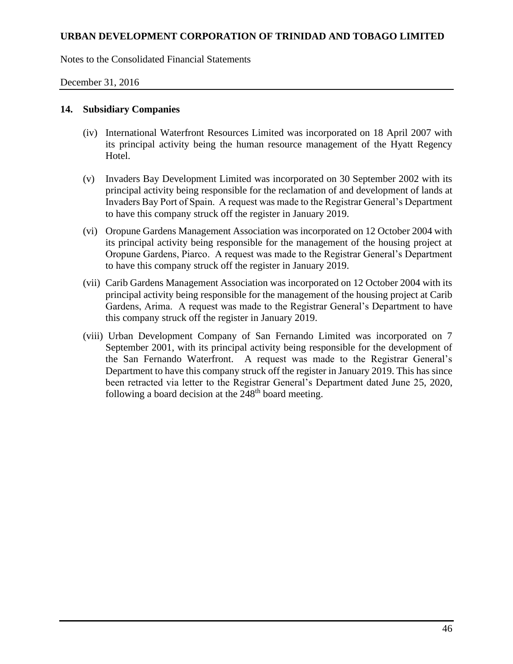Notes to the Consolidated Financial Statements

December 31, 2016

### **14. Subsidiary Companies**

- (iv) International Waterfront Resources Limited was incorporated on 18 April 2007 with its principal activity being the human resource management of the Hyatt Regency Hotel.
- (v) Invaders Bay Development Limited was incorporated on 30 September 2002 with its principal activity being responsible for the reclamation of and development of lands at Invaders Bay Port of Spain. A request was made to the Registrar General's Department to have this company struck off the register in January 2019.
- (vi) Oropune Gardens Management Association was incorporated on 12 October 2004 with its principal activity being responsible for the management of the housing project at Oropune Gardens, Piarco. A request was made to the Registrar General's Department to have this company struck off the register in January 2019.
- (vii) Carib Gardens Management Association was incorporated on 12 October 2004 with its principal activity being responsible for the management of the housing project at Carib Gardens, Arima. A request was made to the Registrar General's Department to have this company struck off the register in January 2019.
- (viii) Urban Development Company of San Fernando Limited was incorporated on 7 September 2001, with its principal activity being responsible for the development of the San Fernando Waterfront. A request was made to the Registrar General's Department to have this company struck off the register in January 2019. This has since been retracted via letter to the Registrar General's Department dated June 25, 2020, following a board decision at the  $248<sup>th</sup>$  board meeting.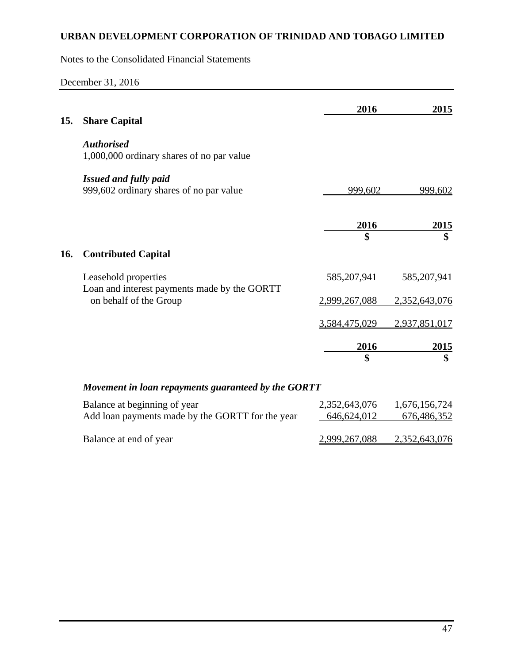Notes to the Consolidated Financial Statements

December 31, 2016

|     |                                                                      | 2016          | 2015          |
|-----|----------------------------------------------------------------------|---------------|---------------|
| 15. | <b>Share Capital</b>                                                 |               |               |
|     | <b>Authorised</b><br>1,000,000 ordinary shares of no par value       |               |               |
|     | <b>Issued and fully paid</b>                                         |               |               |
|     | 999,602 ordinary shares of no par value                              | 999,602       | 999,602       |
|     |                                                                      | 2016          | 2015          |
|     |                                                                      | \$            | \$            |
| 16. | <b>Contributed Capital</b>                                           |               |               |
|     | Leasehold properties<br>Loan and interest payments made by the GORTT | 585, 207, 941 | 585, 207, 941 |
|     | on behalf of the Group                                               | 2,999,267,088 | 2,352,643,076 |
|     |                                                                      | 3,584,475,029 | 2,937,851,017 |
|     |                                                                      | <u>2016</u>   | 2015          |
|     |                                                                      | \$            | \$            |
|     | Movement in loan repayments guaranteed by the GORTT                  |               |               |
|     | Balance at beginning of year                                         | 2,352,643,076 | 1,676,156,724 |
|     | Add loan payments made by the GORTT for the year                     | 646,624,012   | 676,486,352   |
|     | Balance at end of year                                               | 2,999,267,088 | 2,352,643,076 |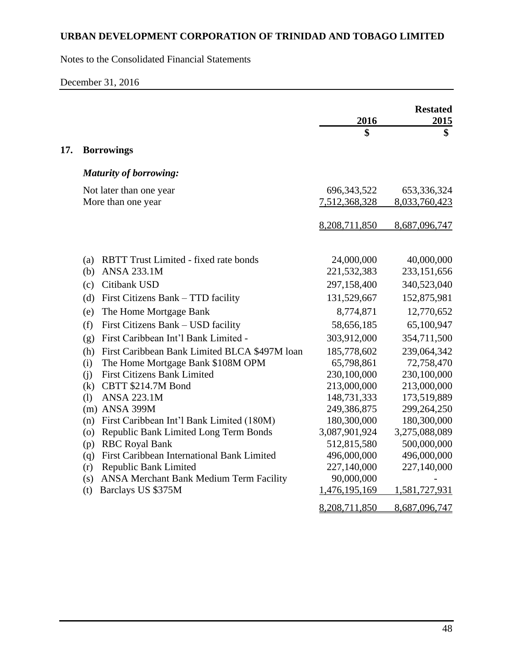Notes to the Consolidated Financial Statements

December 31, 2016

|     |                                                      |               | <b>Restated</b> |
|-----|------------------------------------------------------|---------------|-----------------|
|     |                                                      | 2016<br>\$    | 2015<br>\$      |
|     |                                                      |               |                 |
| 17. | <b>Borrowings</b>                                    |               |                 |
|     | <b>Maturity of borrowing:</b>                        |               |                 |
|     | Not later than one year                              | 696, 343, 522 | 653,336,324     |
|     | More than one year                                   | 7,512,368,328 | 8,033,760,423   |
|     |                                                      |               |                 |
|     |                                                      | 8,208,711,850 | 8,687,096,747   |
|     |                                                      |               |                 |
|     | <b>RBTT Trust Limited - fixed rate bonds</b><br>(a)  | 24,000,000    | 40,000,000      |
|     | <b>ANSA 233.1M</b><br>(b)                            | 221,532,383   | 233,151,656     |
|     | (c) Citibank USD                                     | 297,158,400   | 340,523,040     |
|     | First Citizens Bank – TTD facility<br>(d)            | 131,529,667   | 152,875,981     |
|     | The Home Mortgage Bank<br>(e)                        | 8,774,871     | 12,770,652      |
|     | First Citizens Bank - USD facility<br>(f)            | 58,656,185    | 65,100,947      |
|     | First Caribbean Int'l Bank Limited -<br>(g)          | 303,912,000   | 354,711,500     |
|     | First Caribbean Bank Limited BLCA \$497M loan<br>(h) | 185,778,602   | 239,064,342     |
|     | The Home Mortgage Bank \$108M OPM<br>(i)             | 65,798,861    | 72,758,470      |
|     | <b>First Citizens Bank Limited</b><br>(i)            | 230,100,000   | 230,100,000     |
|     | CBTT \$214.7M Bond<br>(k)                            | 213,000,000   | 213,000,000     |
|     | <b>ANSA 223.1M</b><br>(1)                            | 148,731,333   | 173,519,889     |
|     | (m) ANSA 399M                                        | 249,386,875   | 299,264,250     |
|     | First Caribbean Int'l Bank Limited (180M)<br>(n)     | 180,300,000   | 180,300,000     |
|     | Republic Bank Limited Long Term Bonds<br>(0)         | 3,087,901,924 | 3,275,088,089   |
|     | <b>RBC Royal Bank</b><br>(p)                         | 512,815,580   | 500,000,000     |
|     | First Caribbean International Bank Limited<br>(q)    | 496,000,000   | 496,000,000     |
|     | Republic Bank Limited<br>(r)                         | 227,140,000   | 227,140,000     |
|     | ANSA Merchant Bank Medium Term Facility<br>(s)       | 90,000,000    |                 |
|     | Barclays US \$375M<br>(t)                            | 1,476,195,169 | 1,581,727,931   |
|     |                                                      | 8,208,711,850 | 8,687,096,747   |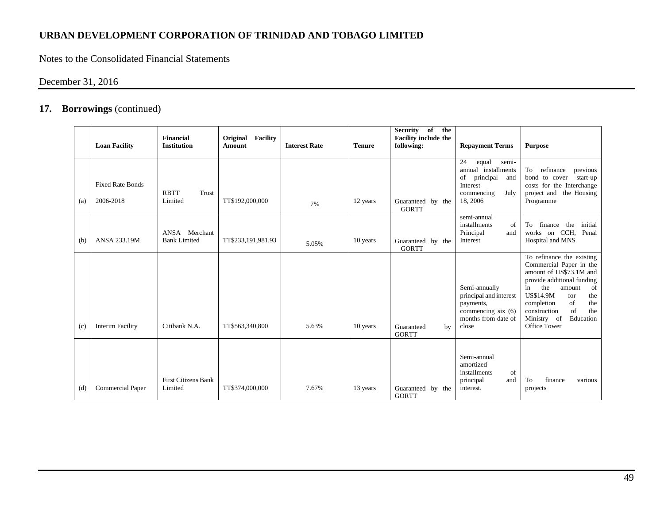Notes to the Consolidated Financial Statements

# December 31, 2016

|     | <b>Loan Facility</b>                 | Financial<br><b>Institution</b>       | Original Facility<br>Amount | <b>Interest Rate</b> | <b>Tenure</b> | of<br>Security<br>the<br><b>Facility include the</b><br>following: | <b>Repayment Terms</b>                                                                                              | <b>Purpose</b>                                                                                                                                                                                                                                                                   |
|-----|--------------------------------------|---------------------------------------|-----------------------------|----------------------|---------------|--------------------------------------------------------------------|---------------------------------------------------------------------------------------------------------------------|----------------------------------------------------------------------------------------------------------------------------------------------------------------------------------------------------------------------------------------------------------------------------------|
| (a) | <b>Fixed Rate Bonds</b><br>2006-2018 | <b>RBTT</b><br>Trust<br>Limited       | TT\$192,000,000             | 7%                   | 12 years      | Guaranteed by the<br><b>GORTT</b>                                  | 24<br>equal<br>semi-<br>annual installments<br>of<br>principal<br>and<br>Interest<br>commencing<br>July<br>18, 2006 | To<br>refinance<br>previous<br>bond to cover<br>start-up<br>costs for the Interchange<br>project and<br>the Housing<br>Programme                                                                                                                                                 |
| (b) | ANSA 233.19M                         | ANSA Merchant<br><b>Bank Limited</b>  | TT\$233,191,981.93          | 5.05%                | 10 years      | Guaranteed by the<br><b>GORTT</b>                                  | semi-annual<br>installments<br>of<br>Principal<br>and<br>Interest                                                   | finance the<br>initial<br>To<br>works on CCH, Penal<br>Hospital and MNS                                                                                                                                                                                                          |
| (c) | <b>Interim Facility</b>              | Citibank N.A.                         | TT\$563,340,800             | 5.63%                | 10 years      | Guaranteed<br>by<br><b>GORTT</b>                                   | Semi-annually<br>principal and interest<br>payments,<br>commencing six $(6)$<br>months from date of<br>close        | To refinance the existing<br>Commercial Paper in the<br>amount of US\$73.1M and<br>provide additional funding<br>the<br>amount<br>of<br>in<br><b>US\$14.9M</b><br>for<br>the<br>of<br>the<br>completion<br>construction<br>of<br>the<br>Ministry of<br>Education<br>Office Tower |
| (d) | <b>Commercial Paper</b>              | <b>First Citizens Bank</b><br>Limited | TT\$374,000,000             | 7.67%                | 13 years      | Guaranteed by the<br><b>GORTT</b>                                  | Semi-annual<br>amortized<br>installments<br>of<br>principal<br>and<br>interest.                                     | finance<br>To<br>various<br>projects                                                                                                                                                                                                                                             |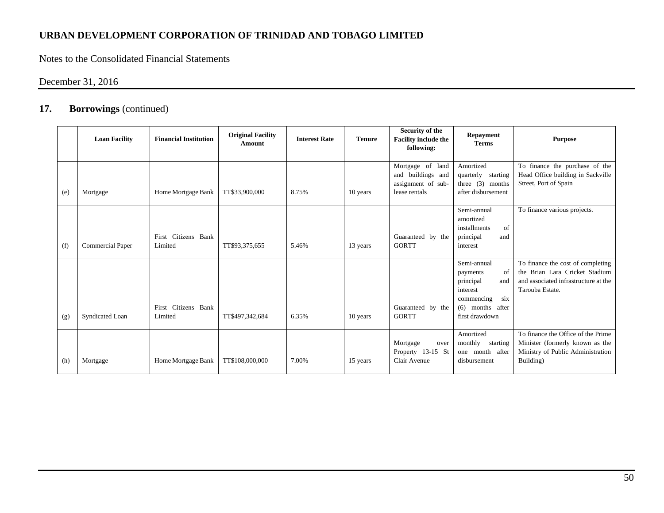Notes to the Consolidated Financial Statements

# December 31, 2016

|     | <b>Loan Facility</b> | <b>Financial Institution</b>   | <b>Original Facility</b><br><b>Amount</b> | <b>Interest Rate</b> | <b>Tenure</b> | Security of the<br><b>Facility include the</b><br>following:                 | <b>Repayment</b><br><b>Terms</b>                                                                                           | <b>Purpose</b>                                                                                                                 |
|-----|----------------------|--------------------------------|-------------------------------------------|----------------------|---------------|------------------------------------------------------------------------------|----------------------------------------------------------------------------------------------------------------------------|--------------------------------------------------------------------------------------------------------------------------------|
| (e) | Mortgage             | Home Mortgage Bank             | TT\$33,900,000                            | 8.75%                | 10 years      | Mortgage of land<br>and buildings and<br>assignment of sub-<br>lease rentals | Amortized<br>quarterly starting<br>three $(3)$ months<br>after disbursement                                                | To finance the purchase of the<br>Head Office building in Sackville<br>Street, Port of Spain                                   |
| (f) | Commercial Paper     | First Citizens Bank<br>Limited | TT\$93,375,655                            | 5.46%                | 13 years      | Guaranteed by the<br><b>GORTT</b>                                            | Semi-annual<br>amortized<br>installments<br>of<br>principal<br>and<br>interest                                             | To finance various projects.                                                                                                   |
| (g) | Syndicated Loan      | First Citizens Bank<br>Limited | TT\$497,342,684                           | 6.35%                | 10 years      | Guaranteed by the<br><b>GORTT</b>                                            | Semi-annual<br>of<br>payments<br>principal<br>and<br>interest<br>six<br>commencing<br>$(6)$ months after<br>first drawdown | To finance the cost of completing<br>the Brian Lara Cricket Stadium<br>and associated infrastructure at the<br>Tarouba Estate. |
| (h) | Mortgage             | Home Mortgage Bank             | TT\$108,000,000                           | 7.00%                | 15 years      | Mortgage<br>over<br>Property 13-15 St<br>Clair Avenue                        | Amortized<br>monthly starting<br>one month after<br>disbursement                                                           | To finance the Office of the Prime<br>Minister (formerly known as the<br>Ministry of Public Administration<br>Building)        |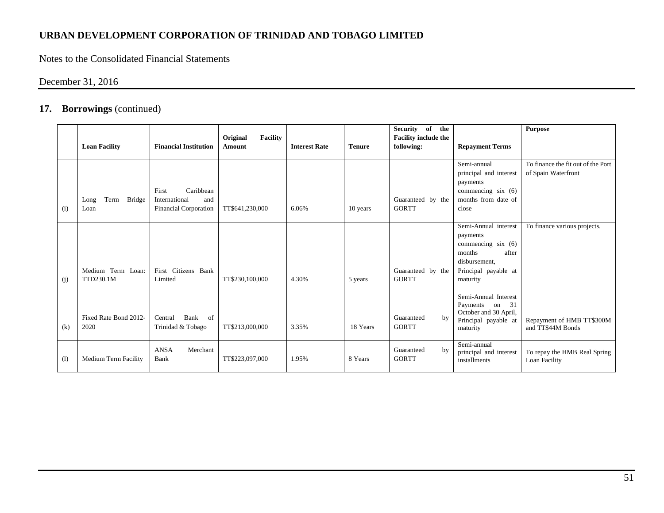Notes to the Consolidated Financial Statements

# December 31, 2016

|     | <b>Loan Facility</b>                  | <b>Financial Institution</b>                                               | Original<br><b>Facility</b><br>Amount | <b>Interest Rate</b> | <b>Tenure</b> | Security of the<br><b>Facility include the</b><br>following: | <b>Repayment Terms</b>                                                                                                          | <b>Purpose</b>                                            |
|-----|---------------------------------------|----------------------------------------------------------------------------|---------------------------------------|----------------------|---------------|--------------------------------------------------------------|---------------------------------------------------------------------------------------------------------------------------------|-----------------------------------------------------------|
|     |                                       |                                                                            |                                       |                      |               |                                                              |                                                                                                                                 |                                                           |
| (i) | Term<br><b>Bridge</b><br>Long<br>Loan | Caribbean<br>First<br>and<br>International<br><b>Financial Corporation</b> | TT\$641,230,000                       | 6.06%                | 10 years      | Guaranteed by the<br><b>GORTT</b>                            | Semi-annual<br>principal and interest<br>payments<br>commencing $six(6)$<br>months from date of<br>close                        | To finance the fit out of the Port<br>of Spain Waterfront |
| (j) | Medium Term Loan:<br>TTD230.1M        | First Citizens Bank<br>Limited                                             | TT\$230,100,000                       | 4.30%                | 5 years       | Guaranteed by the<br><b>GORTT</b>                            | Semi-Annual interest<br>payments<br>commencing $six(6)$<br>months<br>after<br>disbursement,<br>Principal payable at<br>maturity | To finance various projects.                              |
| (k) | Fixed Rate Bond 2012-<br>2020         | Bank<br>Central<br>of<br>Trinidad & Tobago                                 | TT\$213,000,000                       | 3.35%                | 18 Years      | Guaranteed<br>by<br><b>GORTT</b>                             | Semi-Annual Interest<br>Payments on 31<br>October and 30 April,<br>Principal payable at<br>maturity                             | Repayment of HMB TT\$300M<br>and TT\$44M Bonds            |
| (1) | Medium Term Facility                  | <b>ANSA</b><br>Merchant<br>Bank                                            | TT\$223,097,000                       | 1.95%                | 8 Years       | Guaranteed<br>by<br><b>GORTT</b>                             | Semi-annual<br>principal and interest<br>installments                                                                           | To repay the HMB Real Spring<br>Loan Facility             |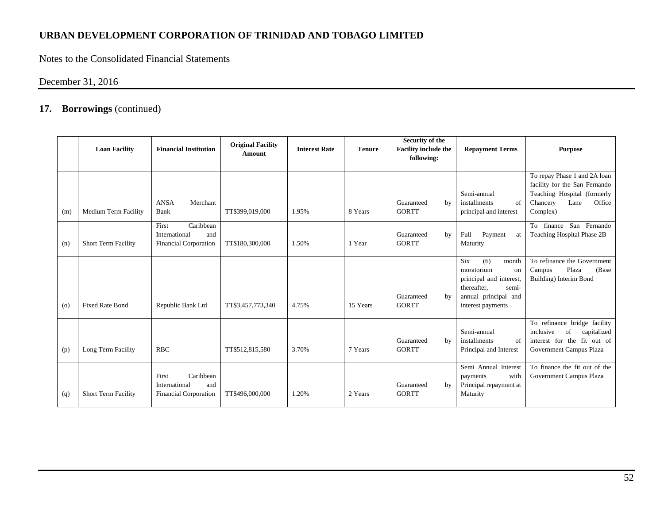Notes to the Consolidated Financial Statements

# December 31, 2016

|         | <b>Loan Facility</b>       | <b>Financial Institution</b>                                               | <b>Original Facility</b><br><b>Amount</b> | <b>Interest Rate</b> | <b>Tenure</b> | Security of the<br><b>Facility include the</b><br>following: | <b>Repayment Terms</b>                                                                                                                  | <b>Purpose</b>                                                                                                                         |
|---------|----------------------------|----------------------------------------------------------------------------|-------------------------------------------|----------------------|---------------|--------------------------------------------------------------|-----------------------------------------------------------------------------------------------------------------------------------------|----------------------------------------------------------------------------------------------------------------------------------------|
| (m)     | Medium Term Facility       | <b>ANSA</b><br>Merchant<br>Bank                                            | TT\$399,019,000                           | 1.95%                | 8 Years       | Guaranteed<br>by<br><b>GORTT</b>                             | Semi-annual<br>installments<br>of<br>principal and interest                                                                             | To repay Phase 1 and 2A loan<br>facility for the San Fernando<br>Teaching Hospital (formerly<br>Chancery<br>Lane<br>Office<br>Complex) |
| (n)     | <b>Short Term Facility</b> | Caribbean<br>First<br>International<br>and<br><b>Financial Corporation</b> | TT\$180,300,000                           | 1.50%                | 1 Year        | Guaranteed<br>by<br><b>GORTT</b>                             | Full<br>Payment<br>at<br>Maturity                                                                                                       | To finance San Fernando<br>Teaching Hospital Phase 2B                                                                                  |
| $\circ$ | <b>Fixed Rate Bond</b>     | Republic Bank Ltd                                                          | TT\$3,457,773,340                         | 4.75%                | 15 Years      | Guaranteed<br>by<br><b>GORTT</b>                             | Six<br>(6)<br>month<br>moratorium<br>on<br>principal and interest,<br>thereafter,<br>semi-<br>annual principal and<br>interest payments | To refinance the Government<br>Plaza<br>(Base)<br>Campus<br>Building) Interim Bond                                                     |
| (p)     | Long Term Facility         | <b>RBC</b>                                                                 | TT\$512,815,580                           | 3.70%                | 7 Years       | Guaranteed<br>by<br><b>GORTT</b>                             | Semi-annual<br>installments<br>of<br>Principal and Interest                                                                             | To refinance bridge facility<br>inclusive<br>of<br>capitalized<br>interest for the fit out of<br>Government Campus Plaza               |
| (q)     | <b>Short Term Facility</b> | Caribbean<br>First<br>International<br>and<br><b>Financial Corporation</b> | TT\$496,000,000                           | 1.20%                | 2 Years       | Guaranteed<br>by<br><b>GORTT</b>                             | Semi Annual Interest<br>with<br>payments<br>Principal repayment at<br>Maturity                                                          | To finance the fit out of the<br>Government Campus Plaza                                                                               |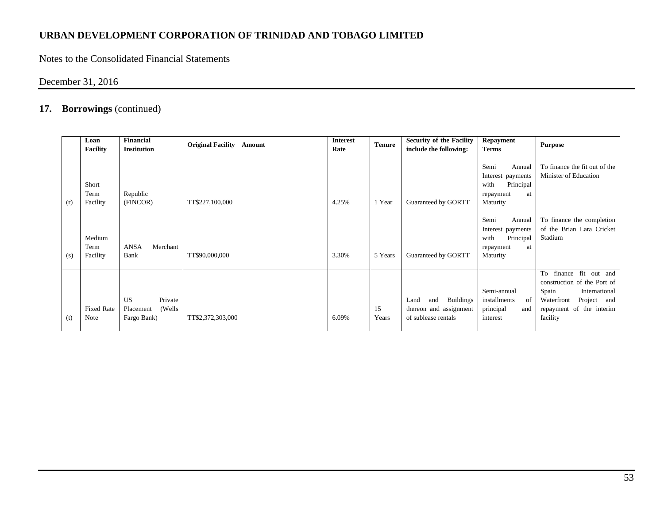Notes to the Consolidated Financial Statements

December 31, 2016

|     | Loan<br>Facility           | <b>Financial</b><br><b>Institution</b>                      | <b>Original Facility Amount</b> | <b>Interest</b><br>Rate | <b>Tenure</b> | <b>Security of the Facility</b><br>include the following:                        | Repayment<br><b>Terms</b>                                                               | <b>Purpose</b>                                                                                                                                       |
|-----|----------------------------|-------------------------------------------------------------|---------------------------------|-------------------------|---------------|----------------------------------------------------------------------------------|-----------------------------------------------------------------------------------------|------------------------------------------------------------------------------------------------------------------------------------------------------|
| (r) | Short<br>Term<br>Facility  | Republic<br>(FINCOR)                                        | TT\$227,100,000                 | 4.25%                   | 1 Year        | Guaranteed by GORTT                                                              | Semi<br>Annual<br>Interest payments<br>with<br>Principal<br>at<br>repayment<br>Maturity | To finance the fit out of the<br>Minister of Education                                                                                               |
| (s) | Medium<br>Term<br>Facility | <b>ANSA</b><br>Merchant<br>Bank                             | TT\$90,000,000                  | 3.30%                   | 5 Years       | Guaranteed by GORTT                                                              | Semi<br>Annual<br>Interest payments<br>with<br>Principal<br>repayment<br>at<br>Maturity | To finance the completion<br>of the Brian Lara Cricket<br>Stadium                                                                                    |
| (t) | <b>Fixed Rate</b><br>Note  | Private<br><b>US</b><br>(Wells)<br>Placement<br>Fargo Bank) | TT\$2,372,303,000               | 6.09%                   | 15<br>Years   | <b>Buildings</b><br>and<br>Land<br>thereon and assignment<br>of sublease rentals | Semi-annual<br>installments<br>of<br>principal<br>and<br>interest                       | To finance fit out and<br>construction of the Port of<br>Spain<br>International<br>Project and<br>Waterfront<br>repayment of the interim<br>facility |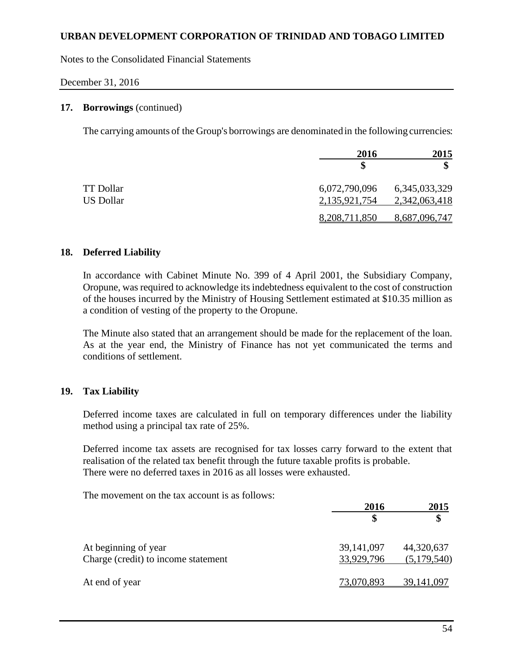Notes to the Consolidated Financial Statements

#### December 31, 2016

#### **17. Borrowings** (continued)

The carrying amounts of the Group's borrowings are denominatedin the following currencies:

|           | 2016          | 2015             |
|-----------|---------------|------------------|
|           |               |                  |
| TT Dollar | 6,072,790,096 | 6, 345, 033, 329 |
| US Dollar | 2,135,921,754 | 2,342,063,418    |
|           | 8,208,711,850 | 8,687,096,747    |

#### **18. Deferred Liability**

In accordance with Cabinet Minute No. 399 of 4 April 2001, the Subsidiary Company, Oropune, was required to acknowledge its indebtedness equivalent to the cost of construction of the houses incurred by the Ministry of Housing Settlement estimated at \$10.35 million as a condition of vesting of the property to the Oropune.

The Minute also stated that an arrangement should be made for the replacement of the loan. As at the year end, the Ministry of Finance has not yet communicated the terms and conditions of settlement.

### **19. Tax Liability**

Deferred income taxes are calculated in full on temporary differences under the liability method using a principal tax rate of 25%.

Deferred income tax assets are recognised for tax losses carry forward to the extent that realisation of the related tax benefit through the future taxable profits is probable. There were no deferred taxes in 2016 as all losses were exhausted.

The movement on the tax account is as follows:

|                                                             | 2016                     | 2015                      |
|-------------------------------------------------------------|--------------------------|---------------------------|
|                                                             |                          | \$                        |
| At beginning of year<br>Charge (credit) to income statement | 39,141,097<br>33,929,796 | 44,320,637<br>(5,179,540) |
| At end of year                                              | 73,070,893               | 39, 141, 097              |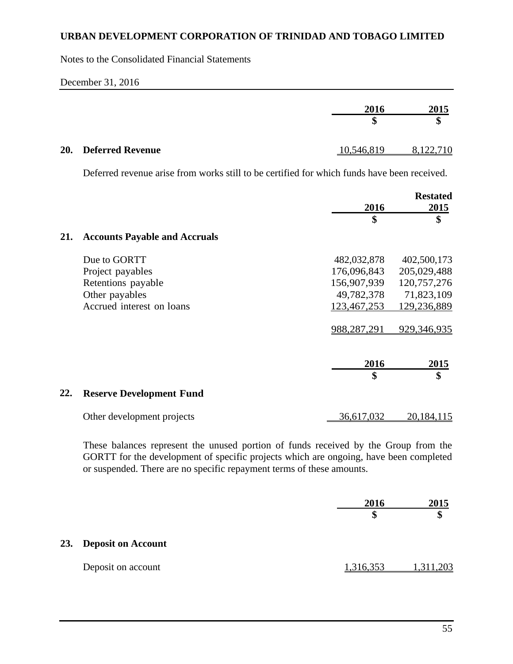Notes to the Consolidated Financial Statements

#### December 31, 2016

|                      | 2016       | 2015      |
|----------------------|------------|-----------|
|                      | J)         | \$        |
| 20. Deferred Revenue | 10,546,819 | 8,122,710 |

Deferred revenue arise from works still to be certified for which funds have been received.

|     |                                      |             | <b>Restated</b> |
|-----|--------------------------------------|-------------|-----------------|
|     |                                      | 2016<br>\$  | 2015<br>\$      |
| 21. | <b>Accounts Payable and Accruals</b> |             |                 |
|     | Due to GORTT                         | 482,032,878 | 402,500,173     |
|     | Project payables                     | 176,096,843 | 205,029,488     |
|     | Retentions payable                   | 156,907,939 | 120,757,276     |
|     | Other payables                       | 49,782,378  | 71,823,109      |
|     | Accrued interest on loans            | 123,467,253 | 129,236,889     |
|     |                                      | 988,287,291 | 929,346,935     |
|     |                                      | 2016        | <u> 2015 </u>   |
|     |                                      | \$          | \$              |
| 22. | <b>Reserve Development Fund</b>      |             |                 |
|     | Other development projects           | 36,617,032  | 20, 184, 115    |

These balances represent the unused portion of funds received by the Group from the GORTT for the development of specific projects which are ongoing, have been completed or suspended. There are no specific repayment terms of these amounts.

|                        | 2016<br>\$ | 2015     |
|------------------------|------------|----------|
| 23. Deposit on Account |            |          |
| Deposit on account     | 1,316,353  | ,311,203 |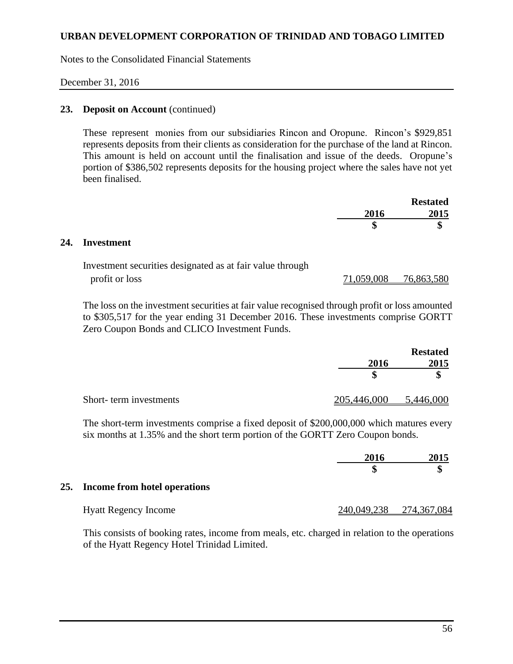Notes to the Consolidated Financial Statements

#### December 31, 2016

#### 23. **Deposit on Account** (continued)

These represent monies from our subsidiaries Rincon and Oropune. Rincon's \$929,851 represents deposits from their clients as consideration for the purchase of the land at Rincon. This amount is held on account until the finalisation and issue of the deeds. Oropune's portion of \$386,502 represents deposits for the housing project where the sales have not yet been finalised.

|      | <b>Restated</b> |
|------|-----------------|
| 2016 | 2015            |
|      | ጡ<br>٨D         |

#### **24. Investment**

| Investment securities designated as at fair value through |            |            |
|-----------------------------------------------------------|------------|------------|
| profit or loss                                            | 71,059,008 | 76,863,580 |

The loss on the investment securities at fair value recognised through profit or loss amounted to \$305,517 for the year ending 31 December 2016. These investments comprise GORTT Zero Coupon Bonds and CLICO Investment Funds.

|                        |             | <b>Restated</b> |
|------------------------|-------------|-----------------|
|                        | 2016        | 2015            |
|                        |             | ιD              |
| Short-term investments | 205,446,000 | 5,446,000       |

The short-term investments comprise a fixed deposit of \$200,000,000 which matures every six months at 1.35% and the short term portion of the GORTT Zero Coupon bonds.

|                                  | 2016                    | 2015 |
|----------------------------------|-------------------------|------|
| 25. Income from hotel operations |                         |      |
| <b>Hyatt Regency Income</b>      | 240,049,238 274,367,084 |      |

This consists of booking rates, income from meals, etc. charged in relation to the operations of the Hyatt Regency Hotel Trinidad Limited.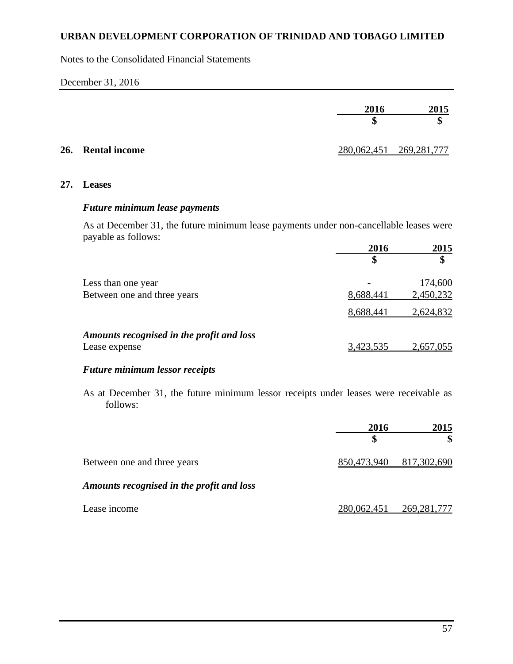Notes to the Consolidated Financial Statements

#### December 31, 2016

|                   | 2016                    | 2015 |
|-------------------|-------------------------|------|
|                   |                         | \$   |
| 26. Rental income | 280,062,451 269,281,777 |      |

### **27. Leases**

#### *Future minimum lease payments*

As at December 31, the future minimum lease payments under non-cancellable leases were payable as follows:

|                                           | 2016      | 2015      |
|-------------------------------------------|-----------|-----------|
|                                           | \$        | \$        |
| Less than one year                        |           | 174,600   |
| Between one and three years               | 8,688,441 | 2,450,232 |
|                                           | 8,688,441 | 2,624,832 |
| Amounts recognised in the profit and loss |           |           |
| Lease expense                             | 3,423,535 | 2,657,055 |

# *Future minimum lessor receipts*

As at December 31, the future minimum lessor receipts under leases were receivable as follows:

|                                           | 2016        | 2015          |  |
|-------------------------------------------|-------------|---------------|--|
|                                           | S           | \$            |  |
| Between one and three years               | 850,473,940 | 817,302,690   |  |
| Amounts recognised in the profit and loss |             |               |  |
| Lease income                              | 280,062,451 | 269, 281, 777 |  |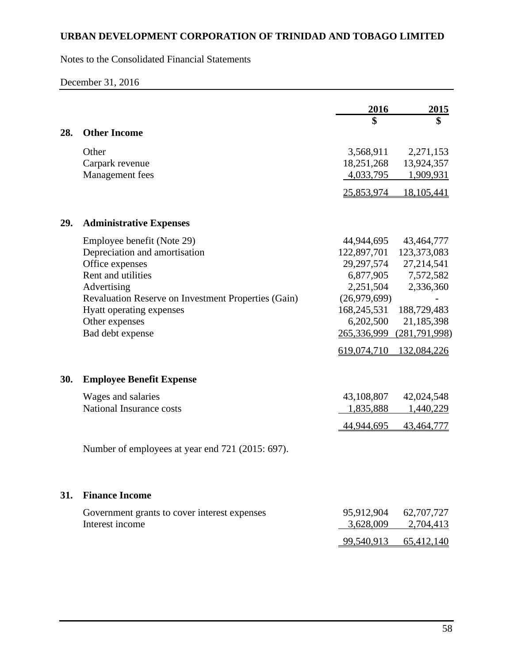Notes to the Consolidated Financial Statements

# December 31, 2016

|     |                                                     | 2016                     | 2015                      |
|-----|-----------------------------------------------------|--------------------------|---------------------------|
|     |                                                     | \$                       | \$                        |
| 28. | <b>Other Income</b>                                 |                          |                           |
|     | Other                                               | 3,568,911                | 2,271,153                 |
|     | Carpark revenue                                     | 18,251,268               | 13,924,357                |
|     | Management fees                                     | 4,033,795                | 1,909,931                 |
|     |                                                     | 25,853,974               | 18,105,441                |
| 29. | <b>Administrative Expenses</b>                      |                          |                           |
|     |                                                     |                          |                           |
|     | Employee benefit (Note 29)                          | 44,944,695               | 43,464,777                |
|     | Depreciation and amortisation                       | 122,897,701              | 123,373,083               |
|     | Office expenses                                     | 29, 297, 574             | 27,214,541                |
|     | Rent and utilities                                  |                          | 6,877,905 7,572,582       |
|     | Advertising                                         | 2,251,504                | 2,336,360                 |
|     | Revaluation Reserve on Investment Properties (Gain) | (26,979,699)             |                           |
|     | Hyatt operating expenses<br>Other expenses          | 168,245,531<br>6,202,500 | 188,729,483<br>21,185,398 |
|     | Bad debt expense                                    | 265,336,999              | (281,791,998)             |
|     |                                                     | 619,074,710              | 132,084,226               |
|     |                                                     |                          |                           |
| 30. | <b>Employee Benefit Expense</b>                     |                          |                           |
|     | Wages and salaries                                  | 43,108,807               | 42,024,548                |
|     | National Insurance costs                            | 1,835,888                | 1,440,229                 |
|     |                                                     | 44,944,695               | 43,464,777                |
|     | Number of employees at year end 721 (2015: 697).    |                          |                           |
|     |                                                     |                          |                           |
| 31. | <b>Finance Income</b>                               |                          |                           |
|     | Government grants to cover interest expenses        | 95,912,904               | 62,707,727                |
|     | Interest income                                     | 3,628,009                | 2,704,413                 |
|     |                                                     | 99,540,913               | 65,412,140                |
|     |                                                     |                          |                           |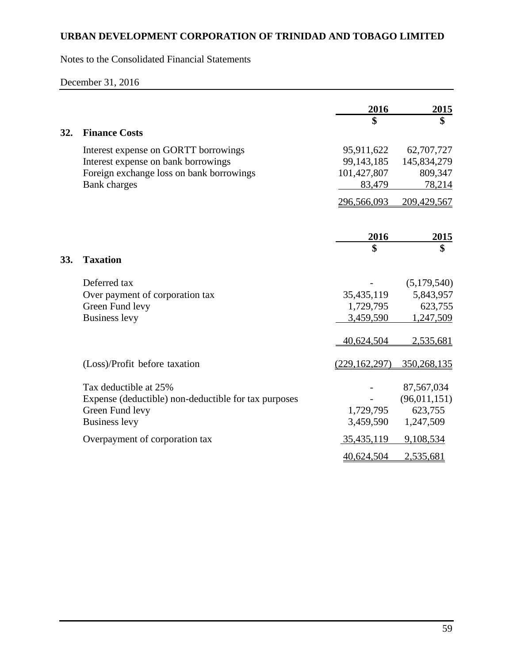Notes to the Consolidated Financial Statements

# December 31, 2016

|     |                                                      | 2016            | <u>2015</u>  |
|-----|------------------------------------------------------|-----------------|--------------|
|     |                                                      | \$              | \$           |
| 32. | <b>Finance Costs</b>                                 |                 |              |
|     | Interest expense on GORTT borrowings                 | 95,911,622      | 62,707,727   |
|     | Interest expense on bank borrowings                  | 99,143,185      | 145,834,279  |
|     | Foreign exchange loss on bank borrowings             | 101,427,807     | 809,347      |
|     | <b>Bank</b> charges                                  | 83,479          | 78,214       |
|     |                                                      | 296,566,093     | 209,429,567  |
|     |                                                      | 2016            | <u>2015</u>  |
|     |                                                      |                 | \$           |
| 33. | <b>Taxation</b>                                      |                 |              |
|     | Deferred tax                                         |                 | (5,179,540)  |
|     | Over payment of corporation tax                      | 35,435,119      | 5,843,957    |
|     | Green Fund levy                                      | 1,729,795       | 623,755      |
|     | <b>Business levy</b>                                 | 3,459,590       | 1,247,509    |
|     |                                                      | 40,624,504      | 2,535,681    |
|     | (Loss)/Profit before taxation                        | (229, 162, 297) | 350,268,135  |
|     | Tax deductible at 25%                                |                 | 87,567,034   |
|     | Expense (deductible) non-deductible for tax purposes |                 | (96,011,151) |
|     | Green Fund levy                                      | 1,729,795       | 623,755      |
|     | <b>Business levy</b>                                 | 3,459,590       | 1,247,509    |
|     | Overpayment of corporation tax                       | 35,435,119      | 9,108,534    |
|     |                                                      | 40,624,504      | 2,535,681    |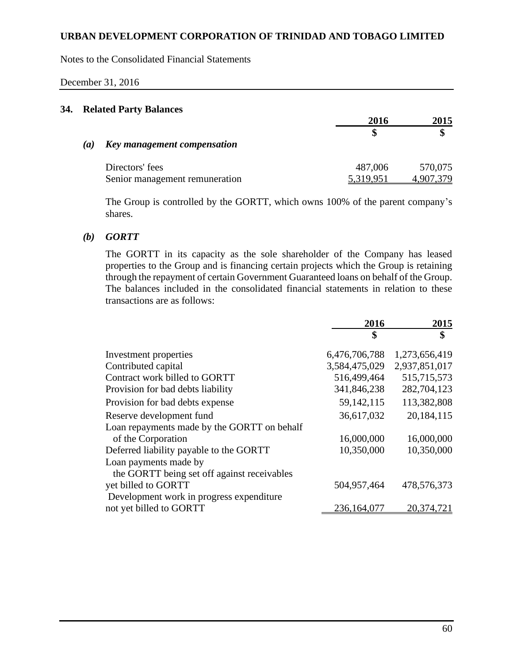Notes to the Consolidated Financial Statements

#### December 31, 2016

### **34. Related Party Balances**

|     |                                | 2016          | 2015    |
|-----|--------------------------------|---------------|---------|
|     |                                |               |         |
| (a) | Key management compensation    |               |         |
|     | Directors' fees                | 487,006       | 570,075 |
|     | Senior management remuneration | 5 3 1 9 9 5 1 |         |

The Group is controlled by the GORTT, which owns 100% of the parent company's shares.

# *(b) GORTT*

The GORTT in its capacity as the sole shareholder of the Company has leased properties to the Group and is financing certain projects which the Group is retaining through the repayment of certain Government Guaranteed loans on behalf of the Group. The balances included in the consolidated financial statements in relation to these transactions are as follows:

|                                             | 2016          | 2015          |
|---------------------------------------------|---------------|---------------|
|                                             | \$            | \$            |
| Investment properties                       | 6,476,706,788 | 1,273,656,419 |
| Contributed capital                         | 3,584,475,029 | 2,937,851,017 |
| Contract work billed to GORTT               | 516,499,464   | 515,715,573   |
| Provision for bad debts liability           | 341,846,238   | 282,704,123   |
| Provision for bad debts expense             | 59, 142, 115  | 113,382,808   |
| Reserve development fund                    | 36,617,032    | 20,184,115    |
| Loan repayments made by the GORTT on behalf |               |               |
| of the Corporation                          | 16,000,000    | 16,000,000    |
| Deferred liability payable to the GORTT     | 10,350,000    | 10,350,000    |
| Loan payments made by                       |               |               |
| the GORTT being set off against receivables |               |               |
| yet billed to GORTT                         | 504,957,464   | 478,576,373   |
| Development work in progress expenditure    |               |               |
| not yet billed to GORTT                     | 236, 164, 077 | 20,374,721    |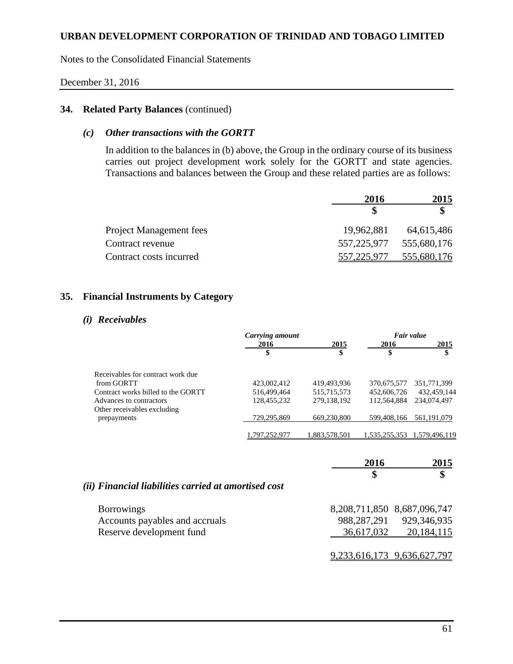Notes to the Consolidated Financial Statements

#### December 31, 2016

# **34. Related Party Balances** (continued)

### *(c) Other transactions with the GORTT*

In addition to the balances in (b) above, the Group in the ordinary course of its business carries out project development work solely for the GORTT and state agencies. Transactions and balances between the Group and these related parties are as follows:

|                                | 2016        | 2015        |  |
|--------------------------------|-------------|-------------|--|
|                                |             |             |  |
| <b>Project Management fees</b> | 19,962,881  | 64,615,486  |  |
| Contract revenue               | 557,225,977 | 555,680,176 |  |
| Contract costs incurred        | 557,225,977 | 555,680,176 |  |

# **35. Financial Instruments by Category**

#### *(i) Receivables*

|                                    | Carrying amount |              |             | Fair value    |
|------------------------------------|-----------------|--------------|-------------|---------------|
|                                    | 2016            | 2015         | 2016        | 2015          |
|                                    |                 | \$           | \$          | \$            |
| Receivables for contract work due  |                 |              |             |               |
| from GORTT                         | 423,002,412     | 419,493,936  | 370,675,577 | 351,771,399   |
| Contract works billed to the GORTT | 516,499,464     | 515,715,573  | 452,606,726 | 432,459,144   |
| Advances to contractors            | 128.455.232     | 279,138,192  | 112,564,884 | 234,074,497   |
| Other receivables excluding        |                 |              |             |               |
| prepayments                        | 729,295,869     | 669,230,800  | 599,408,166 | 561,191,079   |
|                                    | .797.252.97     | .883.578.501 | 535.255.353 | 1.579.496.119 |

|                                                                                 | 2016                        | 2015                                                     |
|---------------------------------------------------------------------------------|-----------------------------|----------------------------------------------------------|
| (ii) Financial liabilities carried at amortised cost                            | \$                          | \$                                                       |
| <b>Borrowings</b><br>Accounts payables and accruals<br>Reserve development fund | 988, 287, 291<br>36,617,032 | 8,208,711,850 8,687,096,747<br>929,346,935<br>20,184,115 |
|                                                                                 |                             | 9,233,616,173 9,636,627,797                              |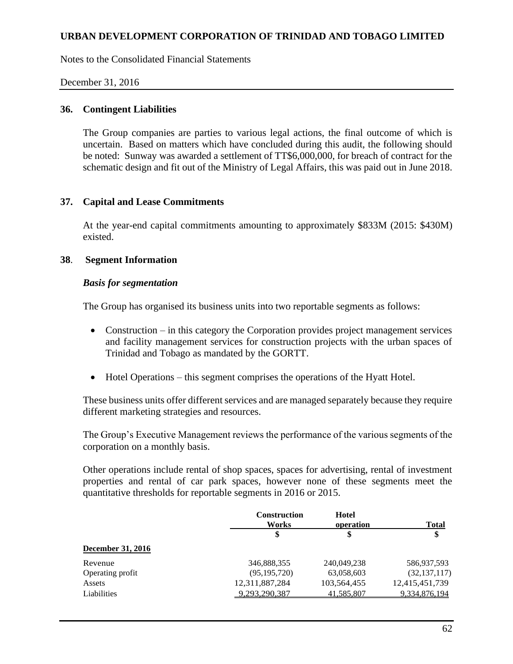Notes to the Consolidated Financial Statements

### December 31, 2016

#### **36. Contingent Liabilities**

The Group companies are parties to various legal actions, the final outcome of which is uncertain. Based on matters which have concluded during this audit, the following should be noted: Sunway was awarded a settlement of TT\$6,000,000, for breach of contract for the schematic design and fit out of the Ministry of Legal Affairs, this was paid out in June 2018.

### **37. Capital and Lease Commitments**

At the year-end capital commitments amounting to approximately \$833M (2015: \$430M) existed.

### **38**. **Segment Information**

#### *Basis for segmentation*

The Group has organised its business units into two reportable segments as follows:

- Construction in this category the Corporation provides project management services and facility management services for construction projects with the urban spaces of Trinidad and Tobago as mandated by the GORTT.
- Hotel Operations this segment comprises the operations of the Hyatt Hotel.

These business units offer different services and are managed separately because they require different marketing strategies and resources.

The Group's Executive Management reviews the performance of the various segments of the corporation on a monthly basis.

Other operations include rental of shop spaces, spaces for advertising, rental of investment properties and rental of car park spaces, however none of these segments meet the quantitative thresholds for reportable segments in 2016 or 2015.

|                          | <b>Construction</b><br>Works | Hotel<br>operation | <b>Total</b>   |
|--------------------------|------------------------------|--------------------|----------------|
|                          | \$                           | \$                 | \$             |
| <b>December 31, 2016</b> |                              |                    |                |
| Revenue                  | 346,888,355                  | 240,049,238        | 586,937,593    |
| Operating profit         | (95, 195, 720)               | 63,058,603         | (32, 137, 117) |
| Assets                   | 12,311,887,284               | 103,564,455        | 12,415,451,739 |
| Liabilities              | 9.293.290.387                | 41,585,807         | 9,334,876,194  |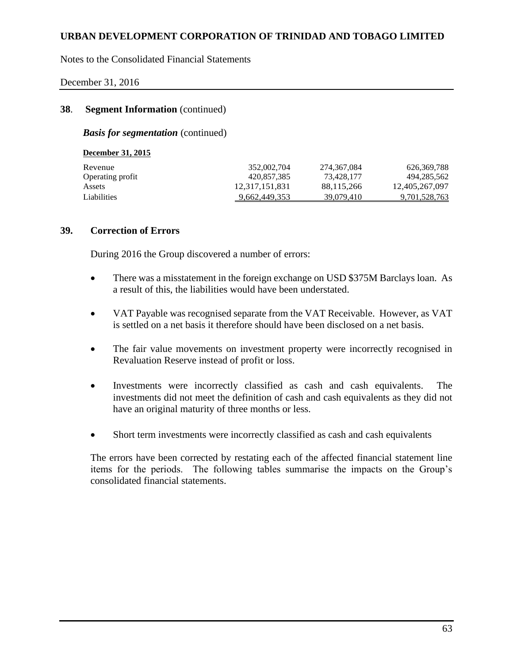Notes to the Consolidated Financial Statements

#### December 31, 2016

### **38**. **Segment Information** (continued)

*Basis for segmentation* (continued)

| <b>December 31, 2015</b> |                |               |                |
|--------------------------|----------------|---------------|----------------|
| Revenue                  | 352,002,704    | 274, 367, 084 | 626, 369, 788  |
| Operating profit         | 420.857.385    | 73.428.177    | 494.285.562    |
| Assets                   | 12,317,151,831 | 88,115,266    | 12,405,267,097 |
| Liabilities              | 9,662,449,353  | 39,079,410    | 9,701,528,763  |

#### **39. Correction of Errors**

During 2016 the Group discovered a number of errors:

- There was a misstatement in the foreign exchange on USD \$375M Barclays loan. As a result of this, the liabilities would have been understated.
- VAT Payable was recognised separate from the VAT Receivable. However, as VAT is settled on a net basis it therefore should have been disclosed on a net basis.
- The fair value movements on investment property were incorrectly recognised in Revaluation Reserve instead of profit or loss.
- Investments were incorrectly classified as cash and cash equivalents. The investments did not meet the definition of cash and cash equivalents as they did not have an original maturity of three months or less.
- Short term investments were incorrectly classified as cash and cash equivalents

The errors have been corrected by restating each of the affected financial statement line items for the periods. The following tables summarise the impacts on the Group's consolidated financial statements.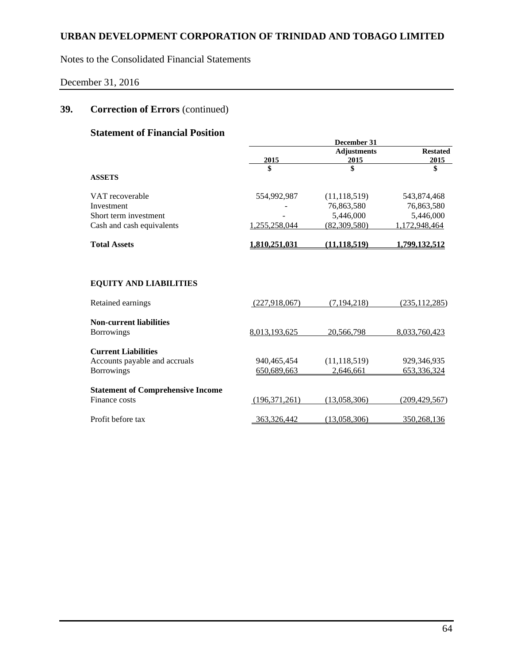Notes to the Consolidated Financial Statements

# December 31, 2016

# **39. Correction of Errors** (continued)

# **Statement of Financial Position**

|                                          |               | December 31                |                         |
|------------------------------------------|---------------|----------------------------|-------------------------|
|                                          | 2015          | <b>Adjustments</b><br>2015 | <b>Restated</b><br>2015 |
| <b>ASSETS</b>                            | \$            | \$                         | \$                      |
| VAT recoverable                          | 554,992,987   | (11, 118, 519)             | 543,874,468             |
| Investment                               |               | 76,863,580                 | 76,863,580              |
| Short term investment                    |               | 5,446,000                  | 5,446,000               |
| Cash and cash equivalents                | 1,255,258,044 | (82,309,580)               | 1,172,948,464           |
| <b>Total Assets</b>                      | 1.810.251.031 | (11.118.519)               | <u>1.799.132.512</u>    |
| <b>EQUITY AND LIABILITIES</b>            |               |                            |                         |
| Retained earnings                        | (227,918,067) | (7.194.218)                | (235, 112, 285)         |
| <b>Non-current liabilities</b>           |               |                            |                         |
| <b>Borrowings</b>                        | 8.013.193.625 | 20.566.798                 | 8,033,760,423           |
| <b>Current Liabilities</b>               |               |                            |                         |
| Accounts payable and accruals            | 940,465,454   | (11, 118, 519)             | 929,346,935             |
| <b>Borrowings</b>                        | 650,689,663   | 2.646.661                  | 653,336,324             |
| <b>Statement of Comprehensive Income</b> |               |                            |                         |
| Finance costs                            | (196,371,261) | (13,058,306)               | (209, 429, 567)         |
| Profit before tax                        | 363,326,442   | (13.058.306)               | 350,268,136             |
|                                          |               |                            |                         |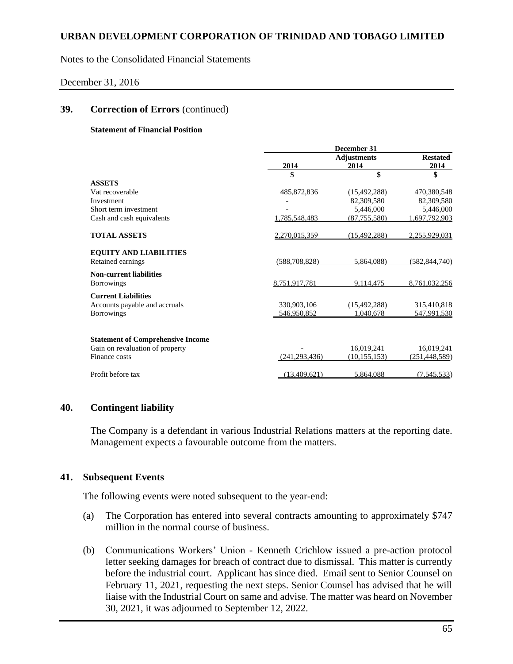Notes to the Consolidated Financial Statements

#### December 31, 2016

#### **39. Correction of Errors** (continued)

#### **Statement of Financial Position**

|                                          | December 31     |                    |                 |
|------------------------------------------|-----------------|--------------------|-----------------|
|                                          |                 | <b>Adjustments</b> | <b>Restated</b> |
|                                          | 2014            | 2014               | 2014            |
|                                          | \$              | \$                 | \$              |
| <b>ASSETS</b>                            |                 |                    |                 |
| Vat recoverable                          | 485,872,836     | (15, 492, 288)     | 470,380,548     |
| Investment                               |                 | 82,309,580         | 82,309,580      |
| Short term investment                    |                 | 5,446,000          | 5,446,000       |
| Cash and cash equivalents                | 1,785,548,483   | (87, 755, 580)     | 1,697,792,903   |
| <b>TOTAL ASSETS</b>                      | 2,270,015,359   | (15, 492, 288)     | 2,255,929,031   |
| <b>EQUITY AND LIABILITIES</b>            |                 |                    |                 |
| Retained earnings                        | (588, 708, 828) | 5,864,088)         | (582, 844, 740) |
| <b>Non-current liabilities</b>           |                 |                    |                 |
| <b>Borrowings</b>                        | 8,751,917,781   | 9,114,475          | 8,761,032,256   |
| <b>Current Liabilities</b>               |                 |                    |                 |
| Accounts payable and accruals            | 330,903,106     | (15, 492, 288)     | 315,410,818     |
| <b>Borrowings</b>                        | 546,950,852     | 1.040.678          | 547.991.530     |
| <b>Statement of Comprehensive Income</b> |                 |                    |                 |
| Gain on revaluation of property          |                 | 16,019,241         | 16,019,241      |
| Finance costs                            | (241, 293, 436) | (10, 155, 153)     | (251, 448, 589) |
| Profit before tax                        | (13, 409, 621)  | 5,864,088          | (7,545,533)     |

#### **40. Contingent liability**

The Company is a defendant in various Industrial Relations matters at the reporting date. Management expects a favourable outcome from the matters.

### **41. Subsequent Events**

The following events were noted subsequent to the year-end:

- (a) The Corporation has entered into several contracts amounting to approximately \$747 million in the normal course of business.
- (b) Communications Workers' Union Kenneth Crichlow issued a pre-action protocol letter seeking damages for breach of contract due to dismissal. This matter is currently before the industrial court. Applicant has since died. Email sent to Senior Counsel on February 11, 2021, requesting the next steps. Senior Counsel has advised that he will liaise with the Industrial Court on same and advise. The matter was heard on November 30, 2021, it was adjourned to September 12, 2022.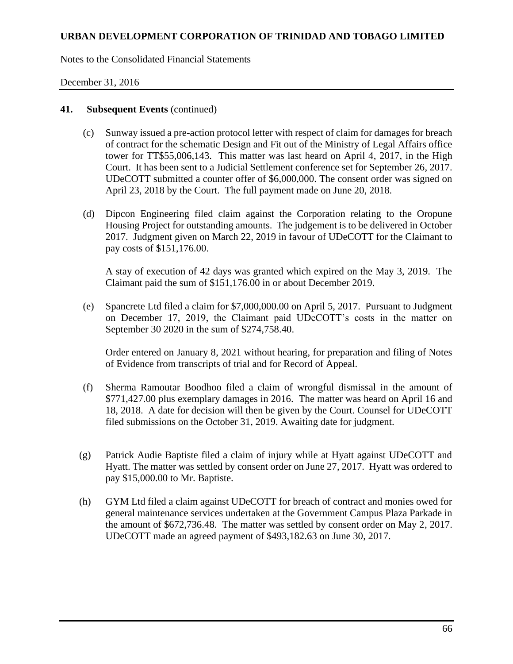Notes to the Consolidated Financial Statements

### December 31, 2016

### **41. Subsequent Events** (continued)

- (c) Sunway issued a pre-action protocol letter with respect of claim for damages for breach of contract for the schematic Design and Fit out of the Ministry of Legal Affairs office tower for TT\$55,006,143. This matter was last heard on April 4, 2017, in the High Court. It has been sent to a Judicial Settlement conference set for September 26, 2017. UDeCOTT submitted a counter offer of \$6,000,000. The consent order was signed on April 23, 2018 by the Court. The full payment made on June 20, 2018.
- (d) Dipcon Engineering filed claim against the Corporation relating to the Oropune Housing Project for outstanding amounts. The judgement is to be delivered in October 2017. Judgment given on March 22, 2019 in favour of UDeCOTT for the Claimant to pay costs of \$151,176.00.

A stay of execution of 42 days was granted which expired on the May 3, 2019. The Claimant paid the sum of \$151,176.00 in or about December 2019.

(e) Spancrete Ltd filed a claim for \$7,000,000.00 on April 5, 2017. Pursuant to Judgment on December 17, 2019, the Claimant paid UDeCOTT's costs in the matter on September 30 2020 in the sum of \$274,758.40.

Order entered on January 8, 2021 without hearing, for preparation and filing of Notes of Evidence from transcripts of trial and for Record of Appeal.

- (f) Sherma Ramoutar Boodhoo filed a claim of wrongful dismissal in the amount of \$771,427.00 plus exemplary damages in 2016. The matter was heard on April 16 and 18, 2018. A date for decision will then be given by the Court. Counsel for UDeCOTT filed submissions on the October 31, 2019. Awaiting date for judgment.
- (g) Patrick Audie Baptiste filed a claim of injury while at Hyatt against UDeCOTT and Hyatt. The matter was settled by consent order on June 27, 2017. Hyatt was ordered to pay \$15,000.00 to Mr. Baptiste.
- (h) GYM Ltd filed a claim against UDeCOTT for breach of contract and monies owed for general maintenance services undertaken at the Government Campus Plaza Parkade in the amount of \$672,736.48. The matter was settled by consent order on May 2, 2017. UDeCOTT made an agreed payment of \$493,182.63 on June 30, 2017.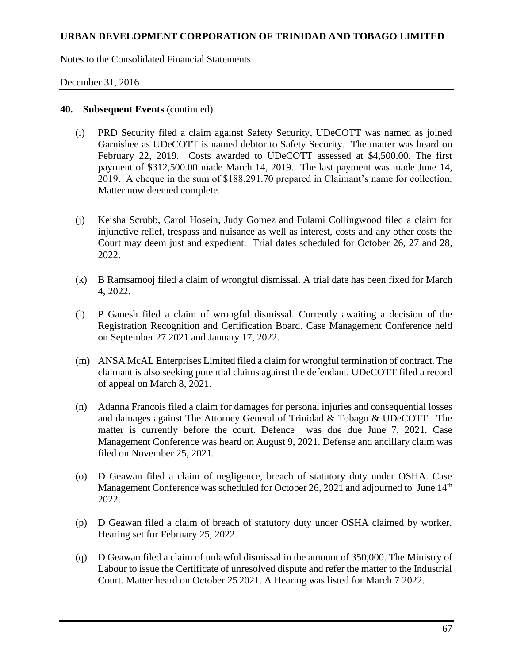Notes to the Consolidated Financial Statements

### December 31, 2016

#### **40. Subsequent Events** (continued)

- (i) PRD Security filed a claim against Safety Security, UDeCOTT was named as joined Garnishee as UDeCOTT is named debtor to Safety Security. The matter was heard on February 22, 2019. Costs awarded to UDeCOTT assessed at \$4,500.00. The first payment of \$312,500.00 made March 14, 2019. The last payment was made June 14, 2019. A cheque in the sum of \$188,291.70 prepared in Claimant's name for collection. Matter now deemed complete.
- (j) Keisha Scrubb, Carol Hosein, Judy Gomez and Fulami Collingwood filed a claim for injunctive relief, trespass and nuisance as well as interest, costs and any other costs the Court may deem just and expedient. Trial dates scheduled for October 26, 27 and 28, 2022.
- (k) B Ramsamooj filed a claim of wrongful dismissal. A trial date has been fixed for March 4, 2022.
- (l) P Ganesh filed a claim of wrongful dismissal. Currently awaiting a decision of the Registration Recognition and Certification Board. Case Management Conference held on September 27 2021 and January 17, 2022.
- (m) ANSA McAL Enterprises Limited filed a claim for wrongful termination of contract. The claimant is also seeking potential claims against the defendant. UDeCOTT filed a record of appeal on March 8, 2021.
- (n) Adanna Francois filed a claim for damages for personal injuries and consequential losses and damages against The Attorney General of Trinidad & Tobago & UDeCOTT. The matter is currently before the court. Defence was due due June 7, 2021. Case Management Conference was heard on August 9, 2021. Defense and ancillary claim was filed on November 25, 2021.
- (o) D Geawan filed a claim of negligence, breach of statutory duty under OSHA. Case Management Conference was scheduled for October 26, 2021 and adjourned to June 14<sup>th</sup> 2022.
- (p) D Geawan filed a claim of breach of statutory duty under OSHA claimed by worker. Hearing set for February 25, 2022.
- (q) D Geawan filed a claim of unlawful dismissal in the amount of 350,000. The Ministry of Labour to issue the Certificate of unresolved dispute and refer the matter to the Industrial Court. Matter heard on October 25 2021. A Hearing was listed for March 7 2022.